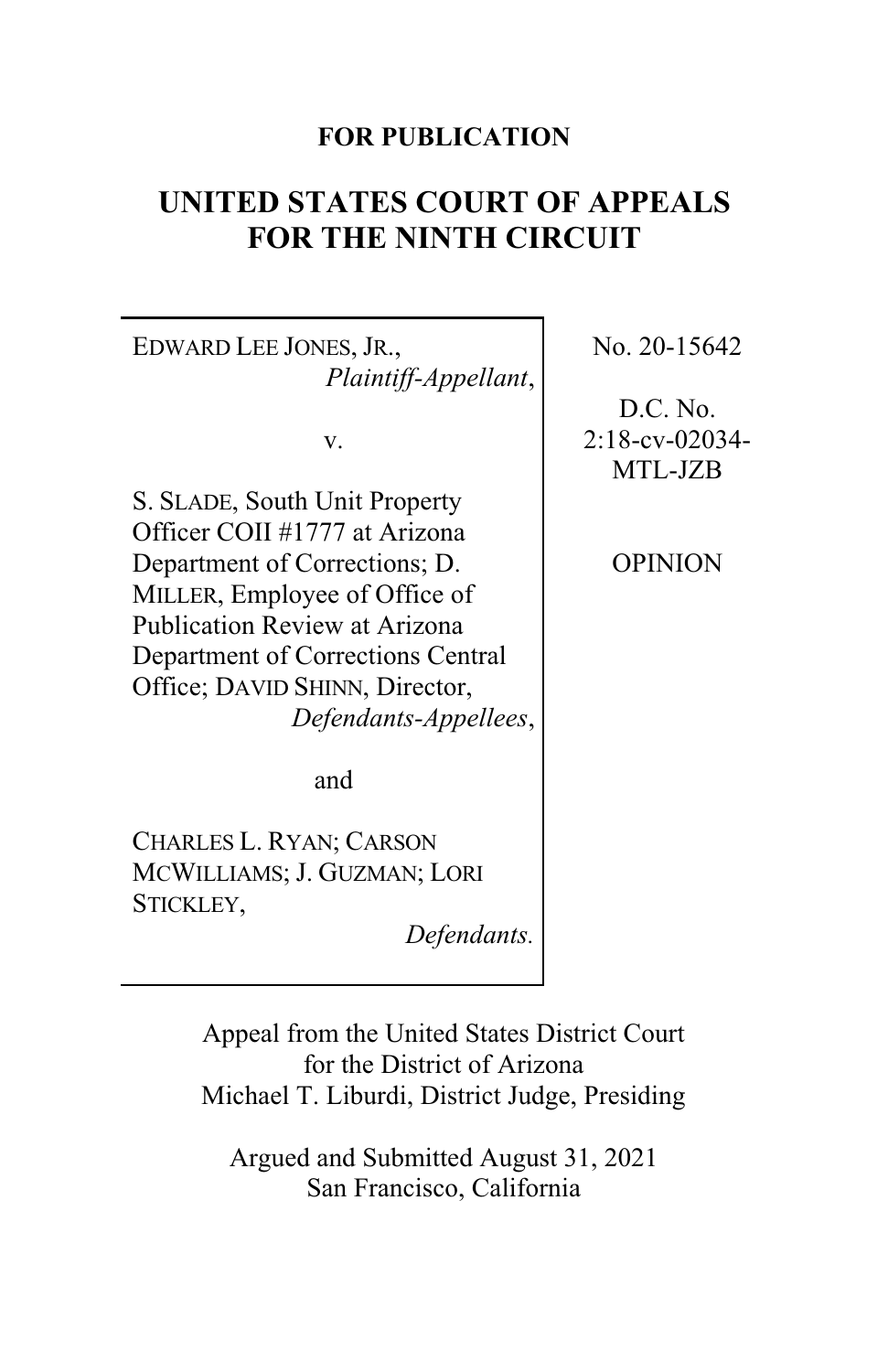# **FOR PUBLICATION**

# **UNITED STATES COURT OF APPEALS FOR THE NINTH CIRCUIT**

EDWARD LEE JONES, JR., *Plaintiff-Appellant*,

v.

S. SLADE, South Unit Property Officer COII #1777 at Arizona Department of Corrections; D. MILLER, Employee of Office of Publication Review at Arizona Department of Corrections Central Office; DAVID SHINN, Director, *Defendants-Appellees*,

and

CHARLES L. RYAN; CARSON MCWILLIAMS; J. GUZMAN; LORI STICKLEY,

*Defendants.*

Appeal from the United States District Court for the District of Arizona Michael T. Liburdi, District Judge, Presiding

Argued and Submitted August 31, 2021 San Francisco, California

No. 20-15642

D.C. No. 2:18-cv-02034- MTL-JZB

OPINION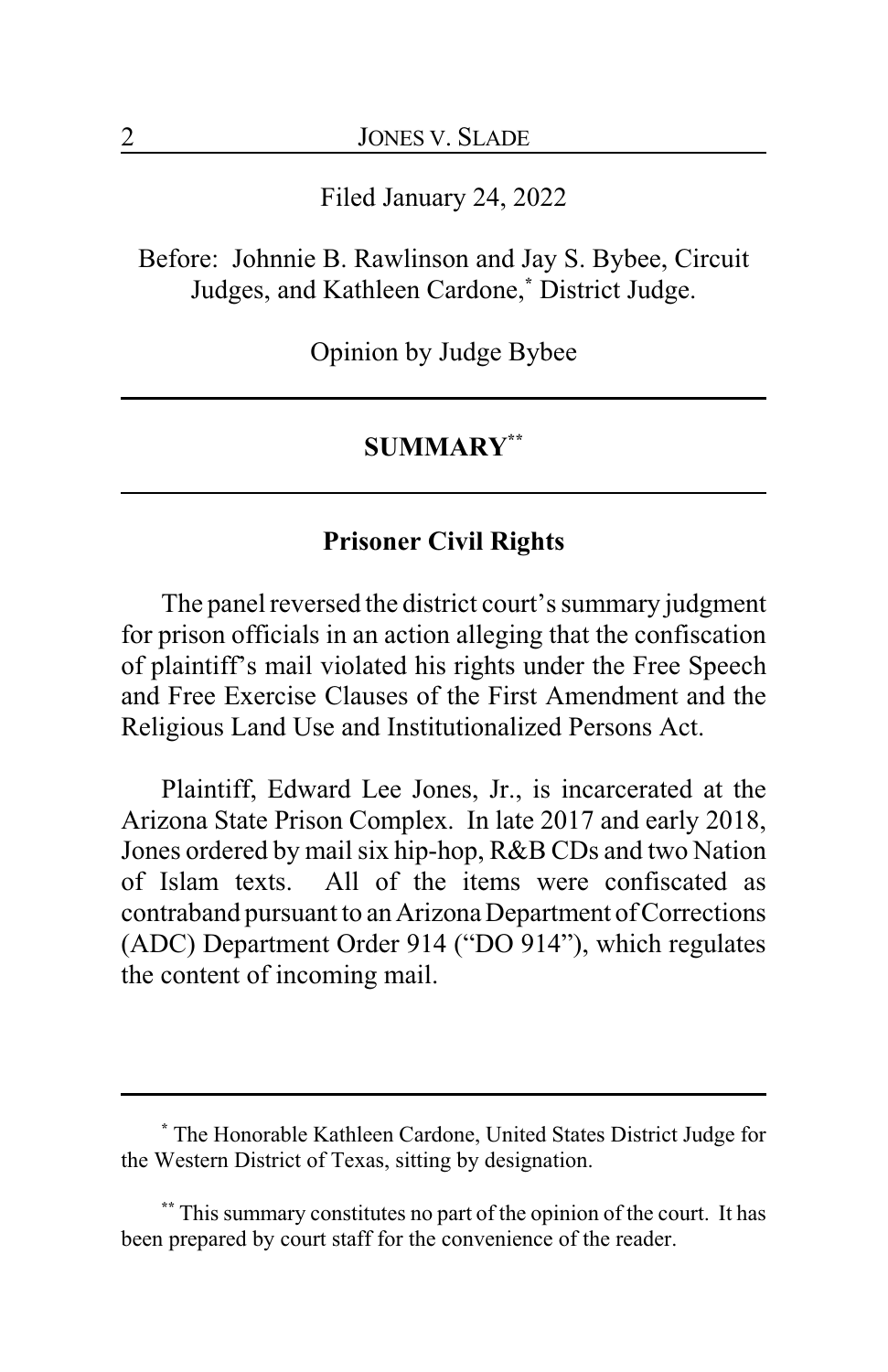Filed January 24, 2022

Before: Johnnie B. Rawlinson and Jay S. Bybee, Circuit Judges, and Kathleen Cardone,**\*** District Judge.

Opinion by Judge Bybee

#### **SUMMARY\*\***

### **Prisoner Civil Rights**

The panel reversed the district court's summary judgment for prison officials in an action alleging that the confiscation of plaintiff's mail violated his rights under the Free Speech and Free Exercise Clauses of the First Amendment and the Religious Land Use and Institutionalized Persons Act.

Plaintiff, Edward Lee Jones, Jr., is incarcerated at the Arizona State Prison Complex. In late 2017 and early 2018, Jones ordered by mail six hip-hop, R&B CDs and two Nation of Islam texts. All of the items were confiscated as contraband pursuant to an Arizona Department of Corrections (ADC) Department Order 914 ("DO 914"), which regulates the content of incoming mail.

**<sup>\*</sup>** The Honorable Kathleen Cardone, United States District Judge for the Western District of Texas, sitting by designation.

**<sup>\*\*</sup>** This summary constitutes no part of the opinion of the court. It has been prepared by court staff for the convenience of the reader.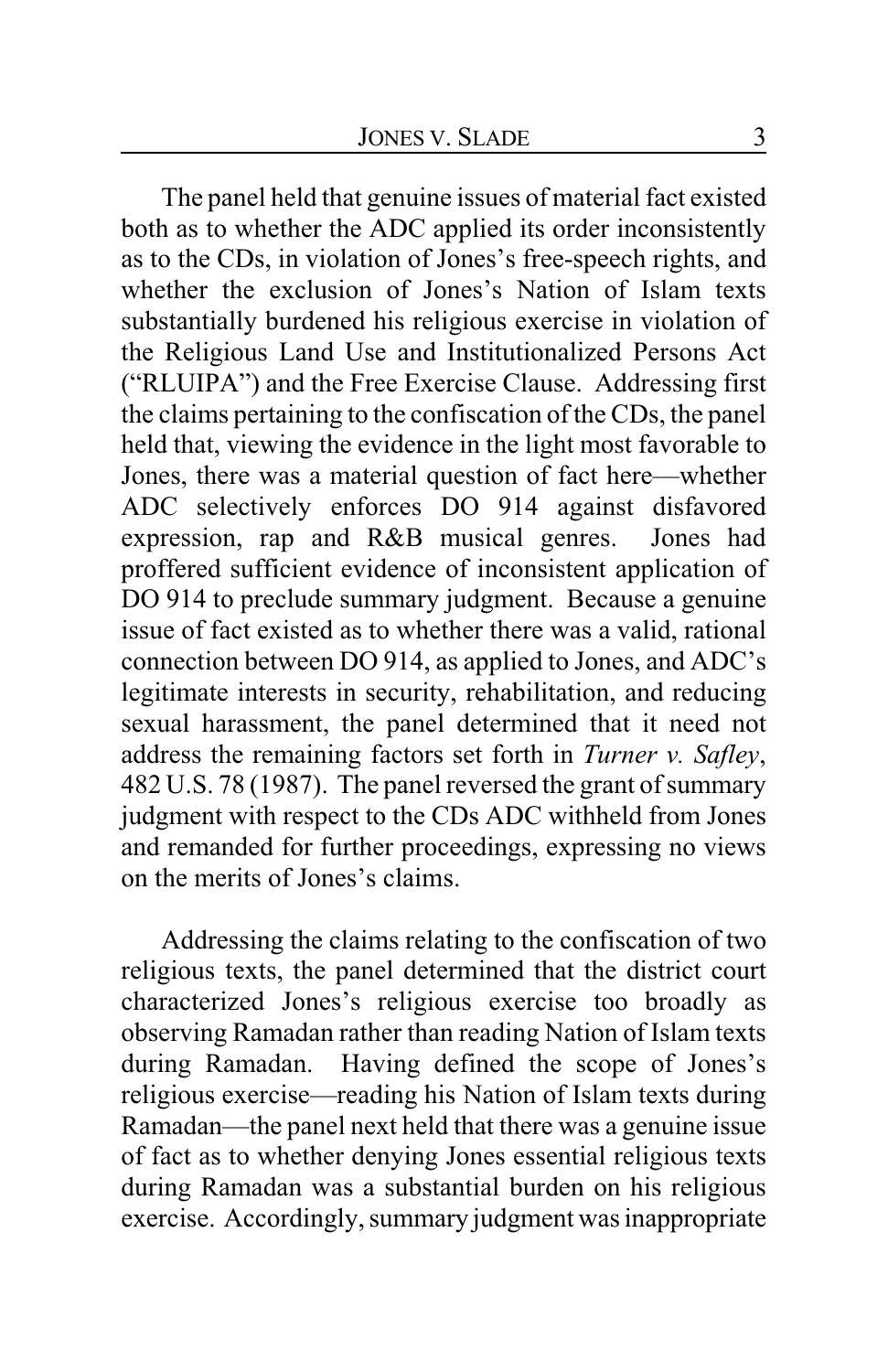The panel held that genuine issues of material fact existed both as to whether the ADC applied its order inconsistently as to the CDs, in violation of Jones's free-speech rights, and whether the exclusion of Jones's Nation of Islam texts substantially burdened his religious exercise in violation of the Religious Land Use and Institutionalized Persons Act ("RLUIPA") and the Free Exercise Clause. Addressing first the claims pertaining to the confiscation of the CDs, the panel held that, viewing the evidence in the light most favorable to Jones, there was a material question of fact here—whether ADC selectively enforces DO 914 against disfavored expression, rap and R&B musical genres. Jones had proffered sufficient evidence of inconsistent application of DO 914 to preclude summary judgment. Because a genuine issue of fact existed as to whether there was a valid, rational connection between DO 914, as applied to Jones, and ADC's legitimate interests in security, rehabilitation, and reducing sexual harassment, the panel determined that it need not address the remaining factors set forth in *Turner v. Safley*, 482 U.S. 78 (1987). The panel reversed the grant of summary judgment with respect to the CDs ADC withheld from Jones and remanded for further proceedings, expressing no views on the merits of Jones's claims.

Addressing the claims relating to the confiscation of two religious texts, the panel determined that the district court characterized Jones's religious exercise too broadly as observing Ramadan rather than reading Nation of Islam texts during Ramadan. Having defined the scope of Jones's religious exercise—reading his Nation of Islam texts during Ramadan—the panel next held that there was a genuine issue of fact as to whether denying Jones essential religious texts during Ramadan was a substantial burden on his religious exercise. Accordingly, summary judgment was inappropriate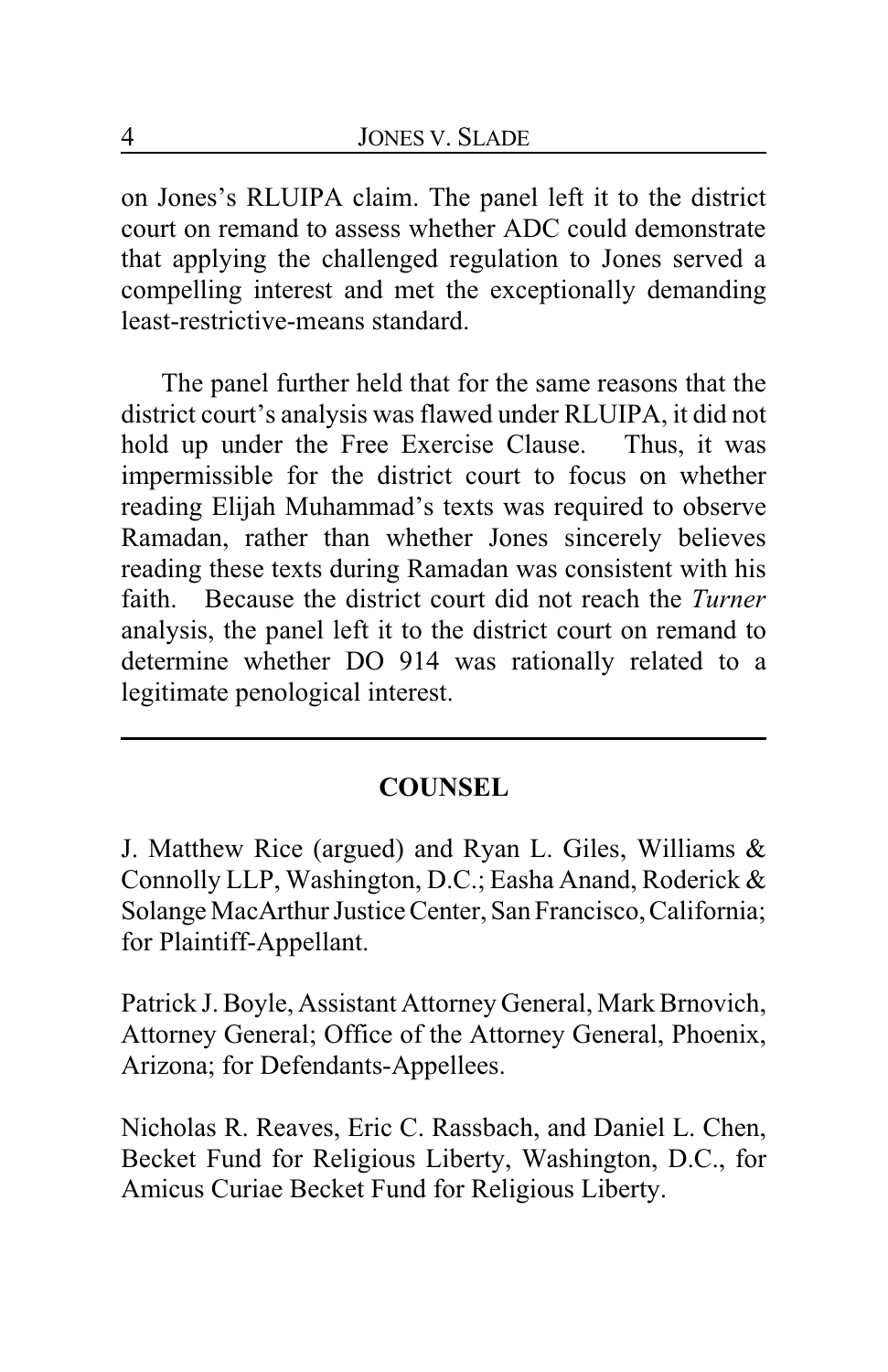on Jones's RLUIPA claim. The panel left it to the district court on remand to assess whether ADC could demonstrate that applying the challenged regulation to Jones served a compelling interest and met the exceptionally demanding least-restrictive-means standard.

The panel further held that for the same reasons that the district court's analysis was flawed under RLUIPA, it did not hold up under the Free Exercise Clause. Thus, it was impermissible for the district court to focus on whether reading Elijah Muhammad's texts was required to observe Ramadan, rather than whether Jones sincerely believes reading these texts during Ramadan was consistent with his faith. Because the district court did not reach the *Turner* analysis, the panel left it to the district court on remand to determine whether DO 914 was rationally related to a legitimate penological interest.

# **COUNSEL**

J. Matthew Rice (argued) and Ryan L. Giles, Williams & Connolly LLP, Washington, D.C.; Easha Anand, Roderick & Solange MacArthur Justice Center, San Francisco, California; for Plaintiff-Appellant.

Patrick J. Boyle, Assistant Attorney General, Mark Brnovich, Attorney General; Office of the Attorney General, Phoenix, Arizona; for Defendants-Appellees.

Nicholas R. Reaves, Eric C. Rassbach, and Daniel L. Chen, Becket Fund for Religious Liberty, Washington, D.C., for Amicus Curiae Becket Fund for Religious Liberty.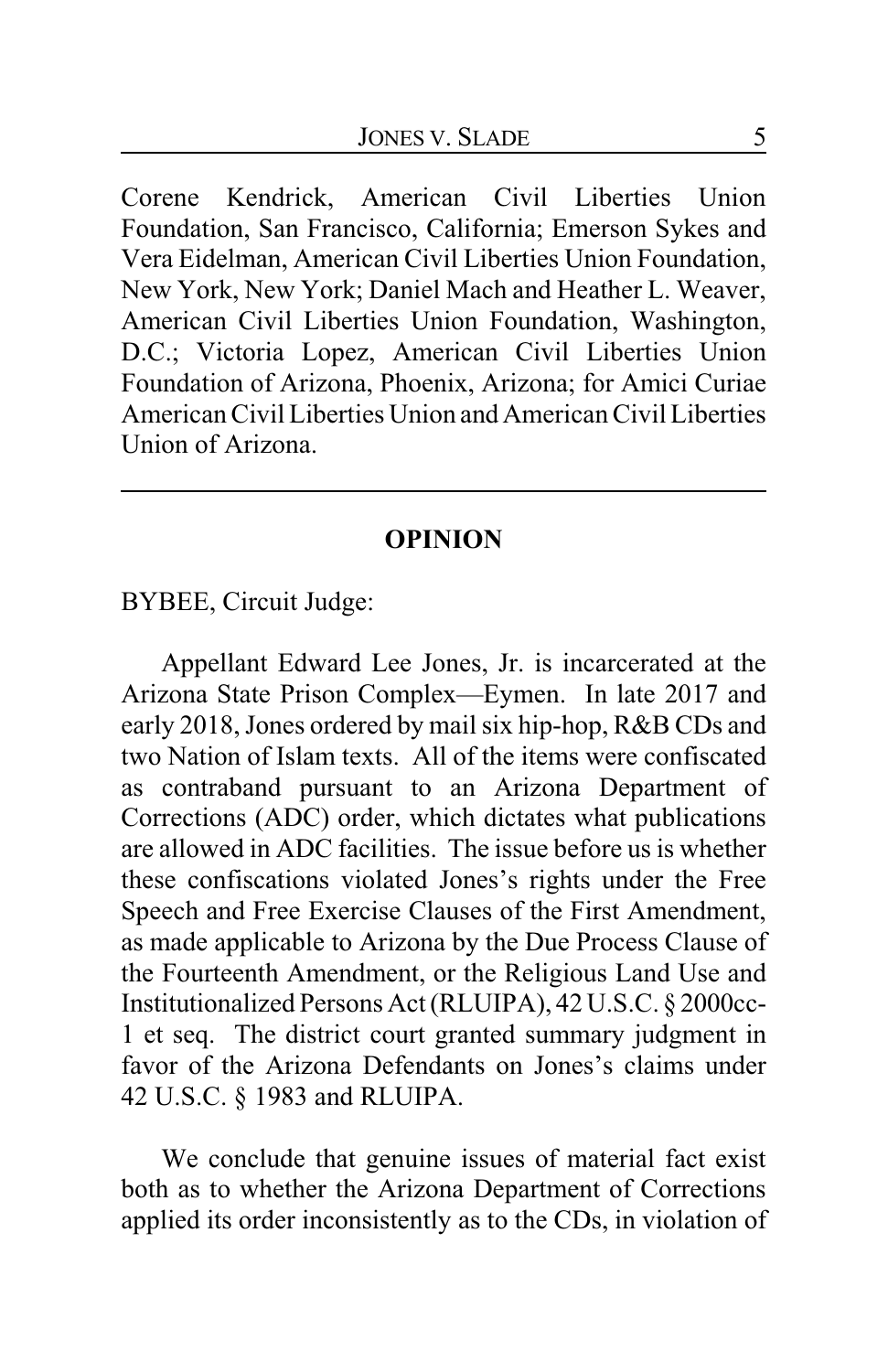Corene Kendrick, American Civil Liberties Union Foundation, San Francisco, California; Emerson Sykes and Vera Eidelman, American Civil Liberties Union Foundation, New York, New York; Daniel Mach and Heather L. Weaver, American Civil Liberties Union Foundation, Washington, D.C.; Victoria Lopez, American Civil Liberties Union Foundation of Arizona, Phoenix, Arizona; for Amici Curiae American Civil Liberties Union and American Civil Liberties Union of Arizona.

#### **OPINION**

BYBEE, Circuit Judge:

Appellant Edward Lee Jones, Jr. is incarcerated at the Arizona State Prison Complex—Eymen. In late 2017 and early 2018, Jones ordered by mail six hip-hop, R&B CDs and two Nation of Islam texts. All of the items were confiscated as contraband pursuant to an Arizona Department of Corrections (ADC) order, which dictates what publications are allowed in ADC facilities. The issue before us is whether these confiscations violated Jones's rights under the Free Speech and Free Exercise Clauses of the First Amendment, as made applicable to Arizona by the Due Process Clause of the Fourteenth Amendment, or the Religious Land Use and Institutionalized Persons Act (RLUIPA), 42 U.S.C. § 2000cc-1 et seq. The district court granted summary judgment in favor of the Arizona Defendants on Jones's claims under 42 U.S.C. § 1983 and RLUIPA.

We conclude that genuine issues of material fact exist both as to whether the Arizona Department of Corrections applied its order inconsistently as to the CDs, in violation of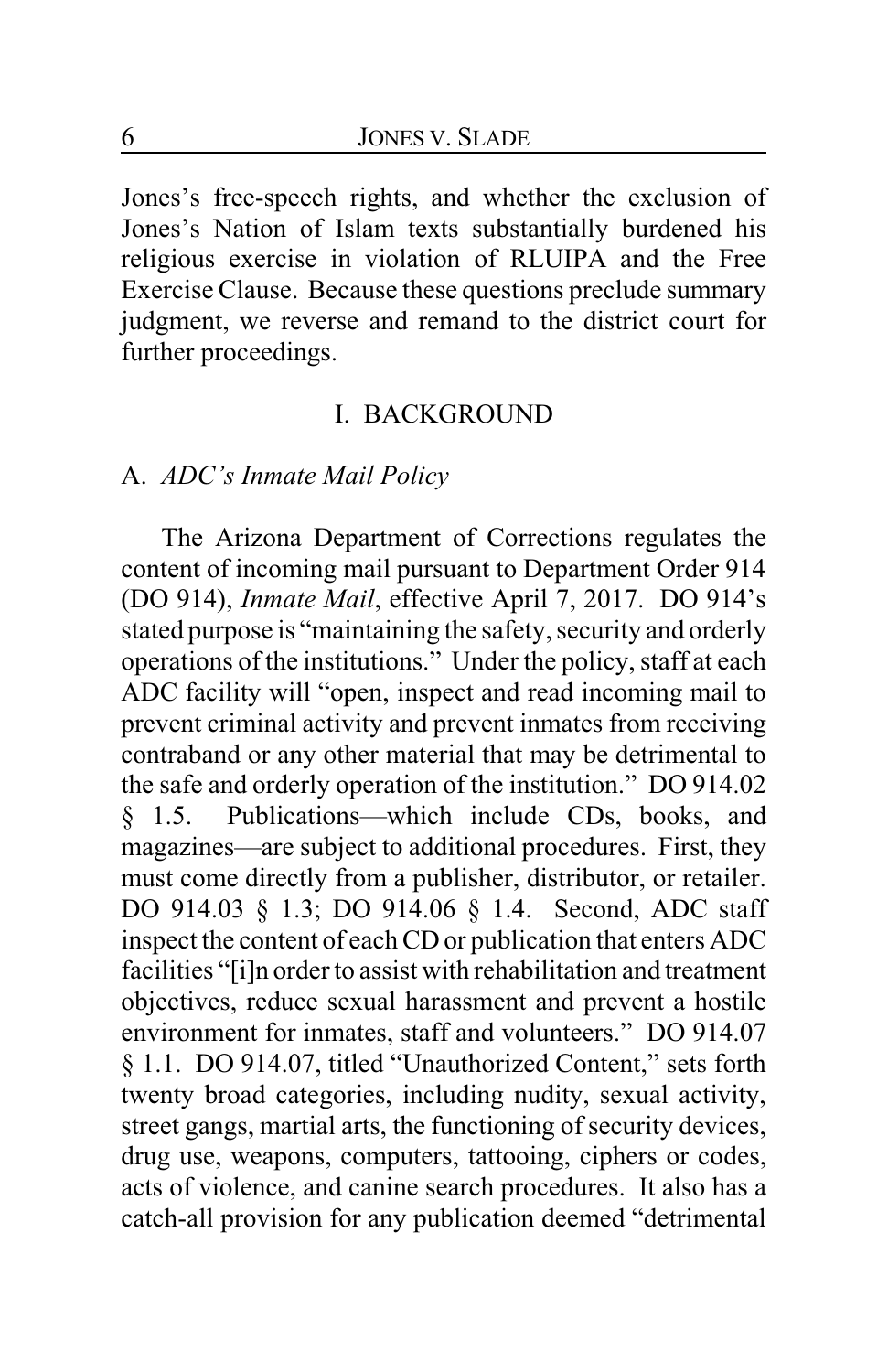Jones's free-speech rights, and whether the exclusion of Jones's Nation of Islam texts substantially burdened his religious exercise in violation of RLUIPA and the Free Exercise Clause. Because these questions preclude summary judgment, we reverse and remand to the district court for further proceedings.

### I. BACKGROUND

### A. *ADC's Inmate Mail Policy*

The Arizona Department of Corrections regulates the content of incoming mail pursuant to Department Order 914 (DO 914), *Inmate Mail*, effective April 7, 2017. DO 914's stated purpose is "maintaining the safety, security and orderly operations of the institutions." Under the policy, staff at each ADC facility will "open, inspect and read incoming mail to prevent criminal activity and prevent inmates from receiving contraband or any other material that may be detrimental to the safe and orderly operation of the institution." DO 914.02 § 1.5. Publications—which include CDs, books, and magazines—are subject to additional procedures. First, they must come directly from a publisher, distributor, or retailer. DO 914.03 § 1.3; DO 914.06 § 1.4. Second, ADC staff inspect the content of each CD or publication that enters ADC facilities "[i]n order to assist with rehabilitation and treatment objectives, reduce sexual harassment and prevent a hostile environment for inmates, staff and volunteers." DO 914.07 § 1.1. DO 914.07, titled "Unauthorized Content," sets forth twenty broad categories, including nudity, sexual activity, street gangs, martial arts, the functioning of security devices, drug use, weapons, computers, tattooing, ciphers or codes, acts of violence, and canine search procedures. It also has a catch-all provision for any publication deemed "detrimental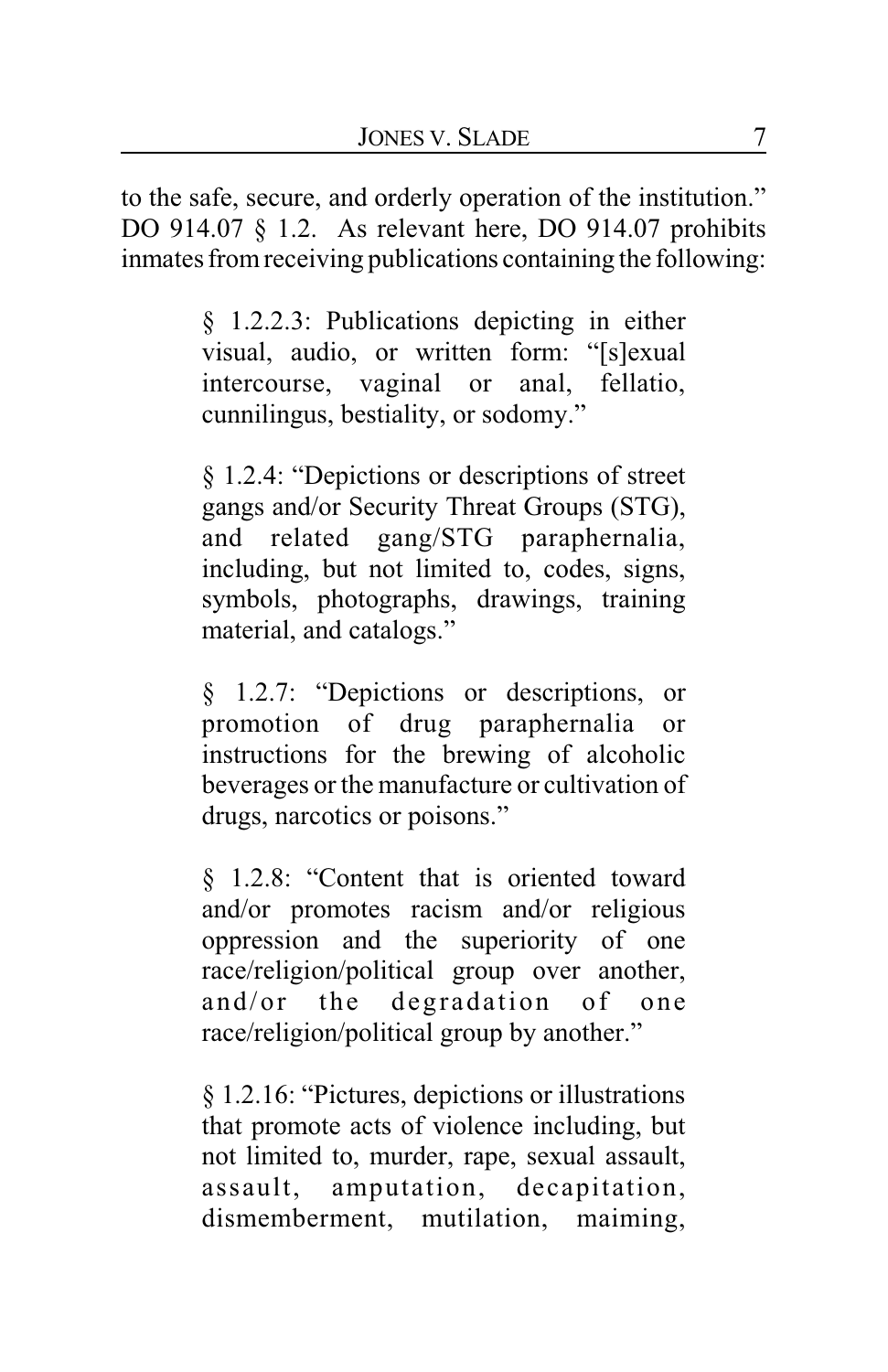to the safe, secure, and orderly operation of the institution." DO 914.07 § 1.2. As relevant here, DO 914.07 prohibits inmates from receiving publications containing the following:

> § 1.2.2.3: Publications depicting in either visual, audio, or written form: "[s]exual intercourse, vaginal or anal, fellatio, cunnilingus, bestiality, or sodomy."

> § 1.2.4: "Depictions or descriptions of street gangs and/or Security Threat Groups (STG), and related gang/STG paraphernalia, including, but not limited to, codes, signs, symbols, photographs, drawings, training material, and catalogs."

> § 1.2.7: "Depictions or descriptions, or promotion of drug paraphernalia or instructions for the brewing of alcoholic beverages or the manufacture or cultivation of drugs, narcotics or poisons."

> § 1.2.8: "Content that is oriented toward and/or promotes racism and/or religious oppression and the superiority of one race/religion/political group over another, and/or the degradation of one race/religion/political group by another."

> § 1.2.16: "Pictures, depictions or illustrations that promote acts of violence including, but not limited to, murder, rape, sexual assault, assault, amputation, decapitation, dismemberment, mutilation, maiming,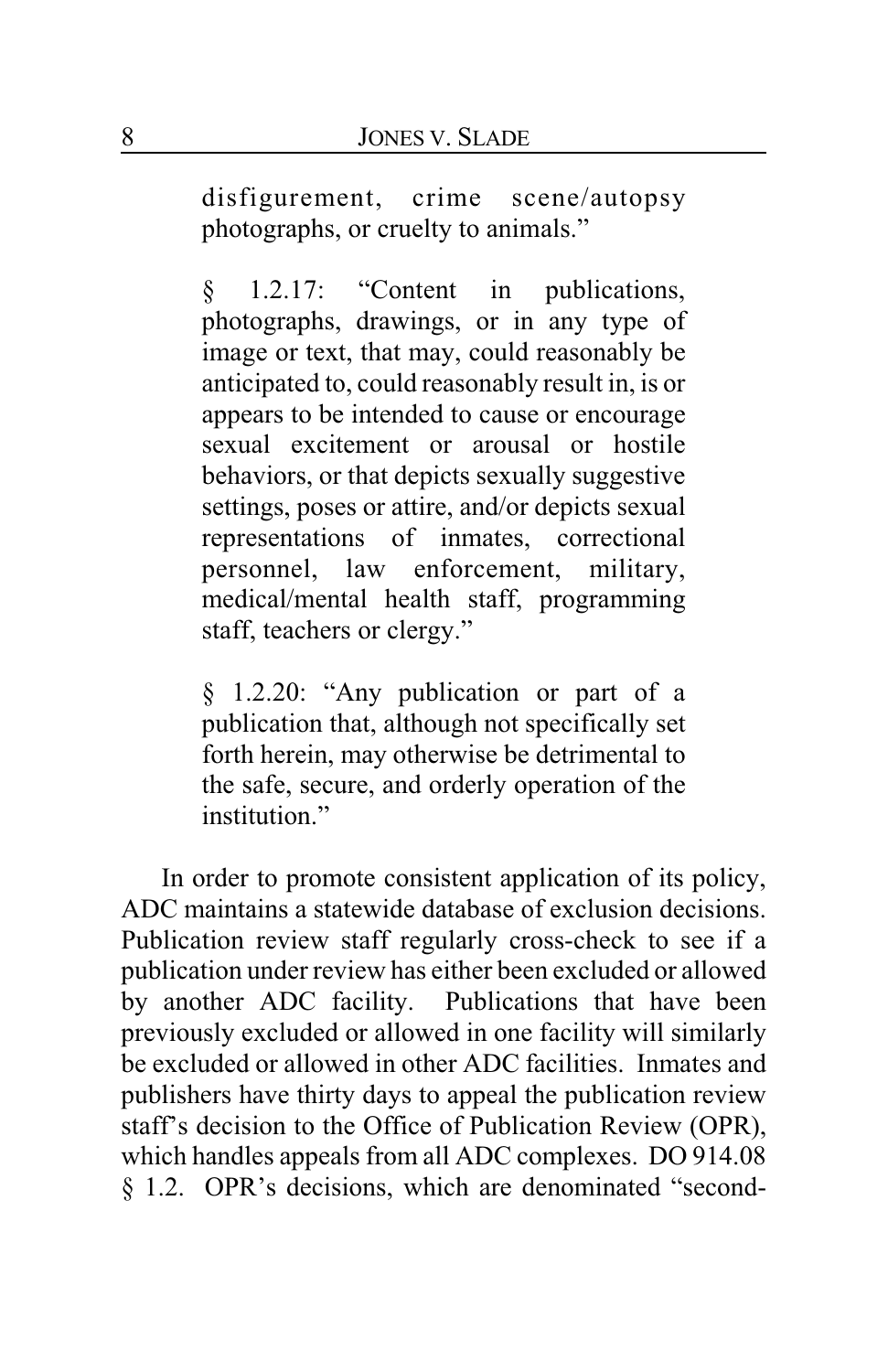disfigurement, crime scene/autopsy photographs, or cruelty to animals."

§ 1.2.17: "Content in publications, photographs, drawings, or in any type of image or text, that may, could reasonably be anticipated to, could reasonably result in, is or appears to be intended to cause or encourage sexual excitement or arousal or hostile behaviors, or that depicts sexually suggestive settings, poses or attire, and/or depicts sexual representations of inmates, correctional personnel, law enforcement, military, medical/mental health staff, programming staff, teachers or clergy."

§ 1.2.20: "Any publication or part of a publication that, although not specifically set forth herein, may otherwise be detrimental to the safe, secure, and orderly operation of the institution"

In order to promote consistent application of its policy, ADC maintains a statewide database of exclusion decisions. Publication review staff regularly cross-check to see if a publication under review has either been excluded or allowed by another ADC facility. Publications that have been previously excluded or allowed in one facility will similarly be excluded or allowed in other ADC facilities. Inmates and publishers have thirty days to appeal the publication review staff's decision to the Office of Publication Review (OPR), which handles appeals from all ADC complexes. DO 914.08 § 1.2. OPR's decisions, which are denominated "second-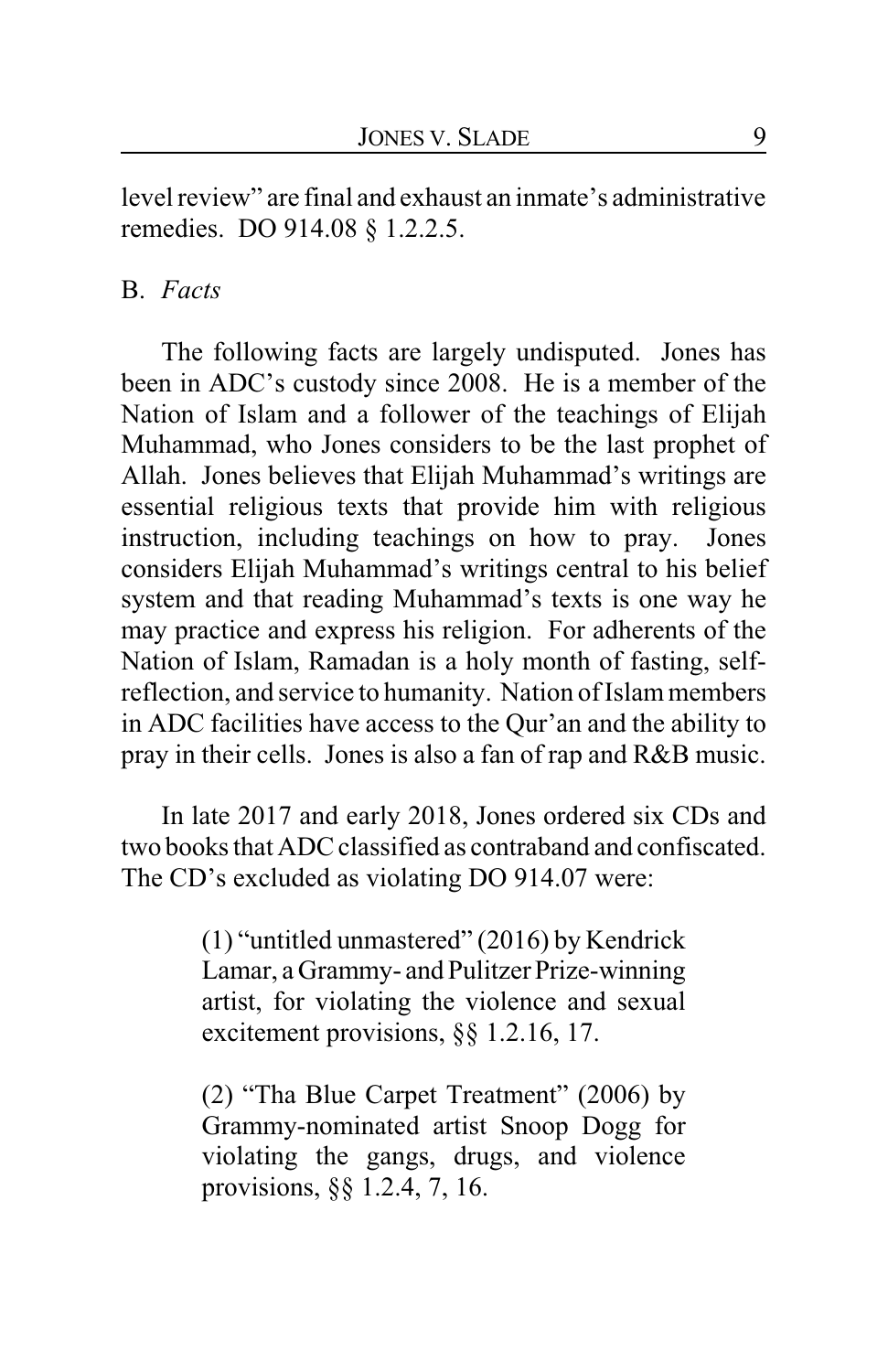level review" are final and exhaust an inmate's administrative remedies. DO 914.08 § 1.2.2.5.

### B. *Facts*

The following facts are largely undisputed. Jones has been in ADC's custody since 2008. He is a member of the Nation of Islam and a follower of the teachings of Elijah Muhammad, who Jones considers to be the last prophet of Allah. Jones believes that Elijah Muhammad's writings are essential religious texts that provide him with religious instruction, including teachings on how to pray. Jones considers Elijah Muhammad's writings central to his belief system and that reading Muhammad's texts is one way he may practice and express his religion. For adherents of the Nation of Islam, Ramadan is a holy month of fasting, selfreflection, and service to humanity. Nation of Islammembers in ADC facilities have access to the Qur'an and the ability to pray in their cells. Jones is also a fan of rap and R&B music.

In late 2017 and early 2018, Jones ordered six CDs and two books that ADC classified as contraband and confiscated. The CD's excluded as violating DO 914.07 were:

> (1) "untitled unmastered" (2016) by Kendrick Lamar, a Grammy- and Pulitzer Prize-winning artist, for violating the violence and sexual excitement provisions, §§ 1.2.16, 17.

> (2) "Tha Blue Carpet Treatment" (2006) by Grammy-nominated artist Snoop Dogg for violating the gangs, drugs, and violence provisions, §§ 1.2.4, 7, 16.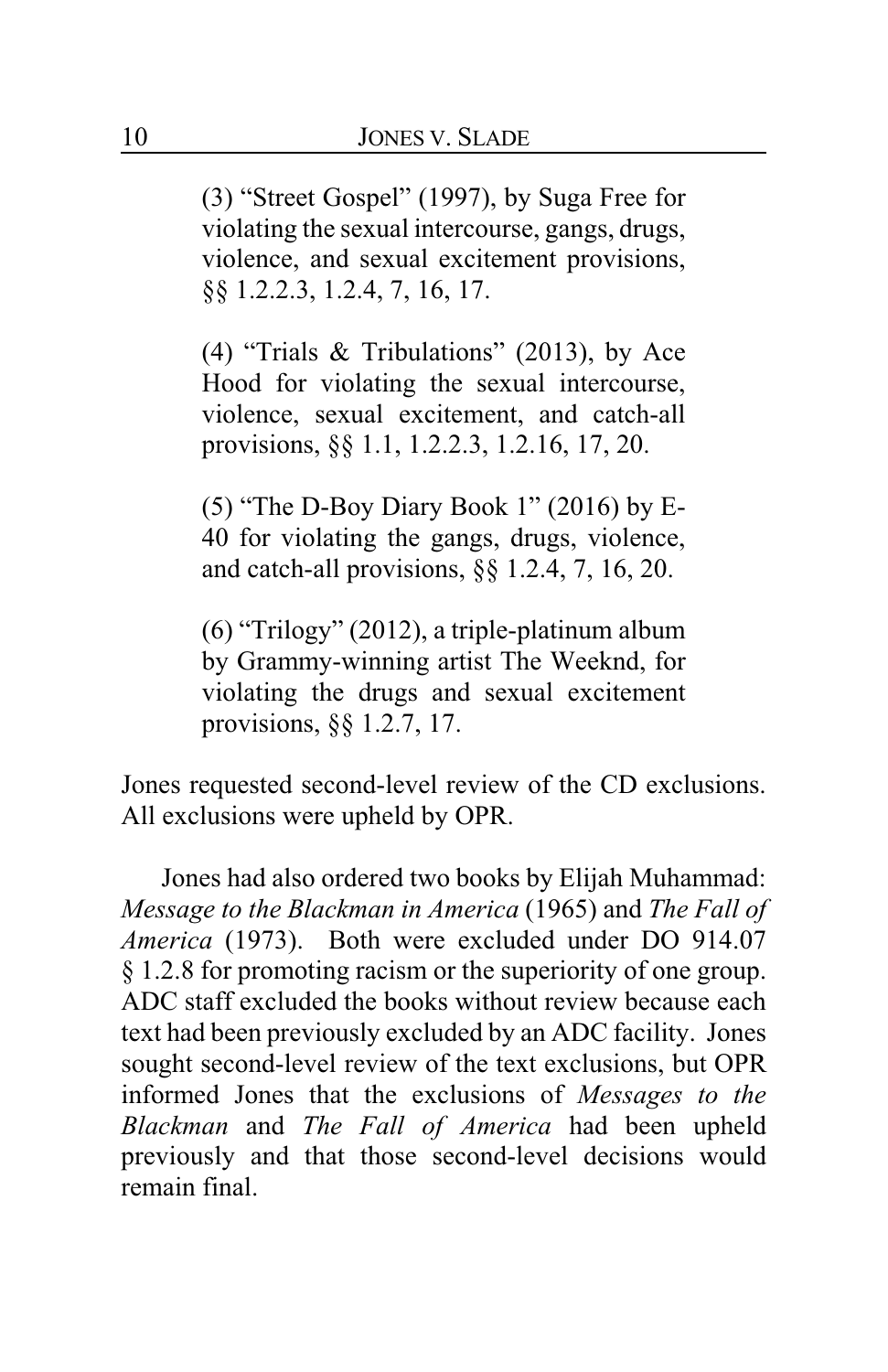(3) "Street Gospel" (1997), by Suga Free for violating the sexual intercourse, gangs, drugs, violence, and sexual excitement provisions, §§ 1.2.2.3, 1.2.4, 7, 16, 17.

(4) "Trials & Tribulations" (2013), by Ace Hood for violating the sexual intercourse, violence, sexual excitement, and catch-all provisions, §§ 1.1, 1.2.2.3, 1.2.16, 17, 20.

(5) "The D-Boy Diary Book 1" (2016) by E-40 for violating the gangs, drugs, violence, and catch-all provisions, §§ 1.2.4, 7, 16, 20.

(6) "Trilogy" (2012), a triple-platinum album by Grammy-winning artist The Weeknd, for violating the drugs and sexual excitement provisions, §§ 1.2.7, 17.

Jones requested second-level review of the CD exclusions. All exclusions were upheld by OPR.

Jones had also ordered two books by Elijah Muhammad: *Message to the Blackman in America* (1965) and *The Fall of America* (1973). Both were excluded under DO 914.07 § 1.2.8 for promoting racism or the superiority of one group. ADC staff excluded the books without review because each text had been previously excluded by an ADC facility. Jones sought second-level review of the text exclusions, but OPR informed Jones that the exclusions of *Messages to the Blackman* and *The Fall of America* had been upheld previously and that those second-level decisions would remain final.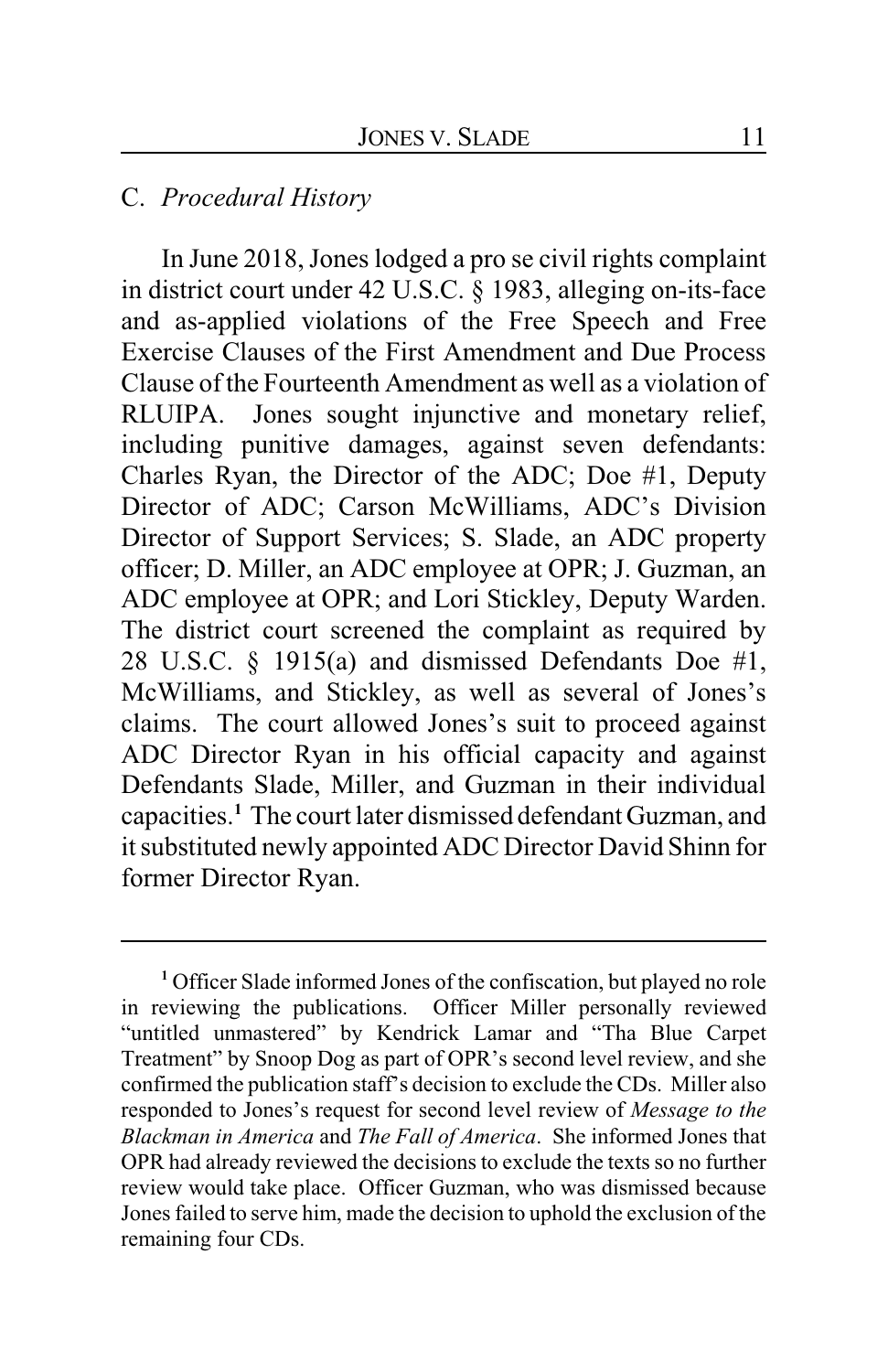## C. *Procedural History*

In June 2018, Jones lodged a pro se civil rights complaint in district court under 42 U.S.C. § 1983, alleging on-its-face and as-applied violations of the Free Speech and Free Exercise Clauses of the First Amendment and Due Process Clause of the Fourteenth Amendment as well as a violation of RLUIPA. Jones sought injunctive and monetary relief, including punitive damages, against seven defendants: Charles Ryan, the Director of the ADC; Doe #1, Deputy Director of ADC; Carson McWilliams, ADC's Division Director of Support Services; S. Slade, an ADC property officer; D. Miller, an ADC employee at OPR; J. Guzman, an ADC employee at OPR; and Lori Stickley, Deputy Warden. The district court screened the complaint as required by 28 U.S.C. § 1915(a) and dismissed Defendants Doe #1, McWilliams, and Stickley, as well as several of Jones's claims. The court allowed Jones's suit to proceed against ADC Director Ryan in his official capacity and against Defendants Slade, Miller, and Guzman in their individual capacities.**<sup>1</sup>** The court later dismissed defendant Guzman, and it substituted newly appointed ADC Director David Shinn for former Director Ryan.

**<sup>1</sup>** Officer Slade informed Jones of the confiscation, but played no role in reviewing the publications. Officer Miller personally reviewed "untitled unmastered" by Kendrick Lamar and "Tha Blue Carpet Treatment" by Snoop Dog as part of OPR's second level review, and she confirmed the publication staff's decision to exclude the CDs. Miller also responded to Jones's request for second level review of *Message to the Blackman in America* and *The Fall of America*. She informed Jones that OPR had already reviewed the decisions to exclude the texts so no further review would take place. Officer Guzman, who was dismissed because Jones failed to serve him, made the decision to uphold the exclusion of the remaining four CDs.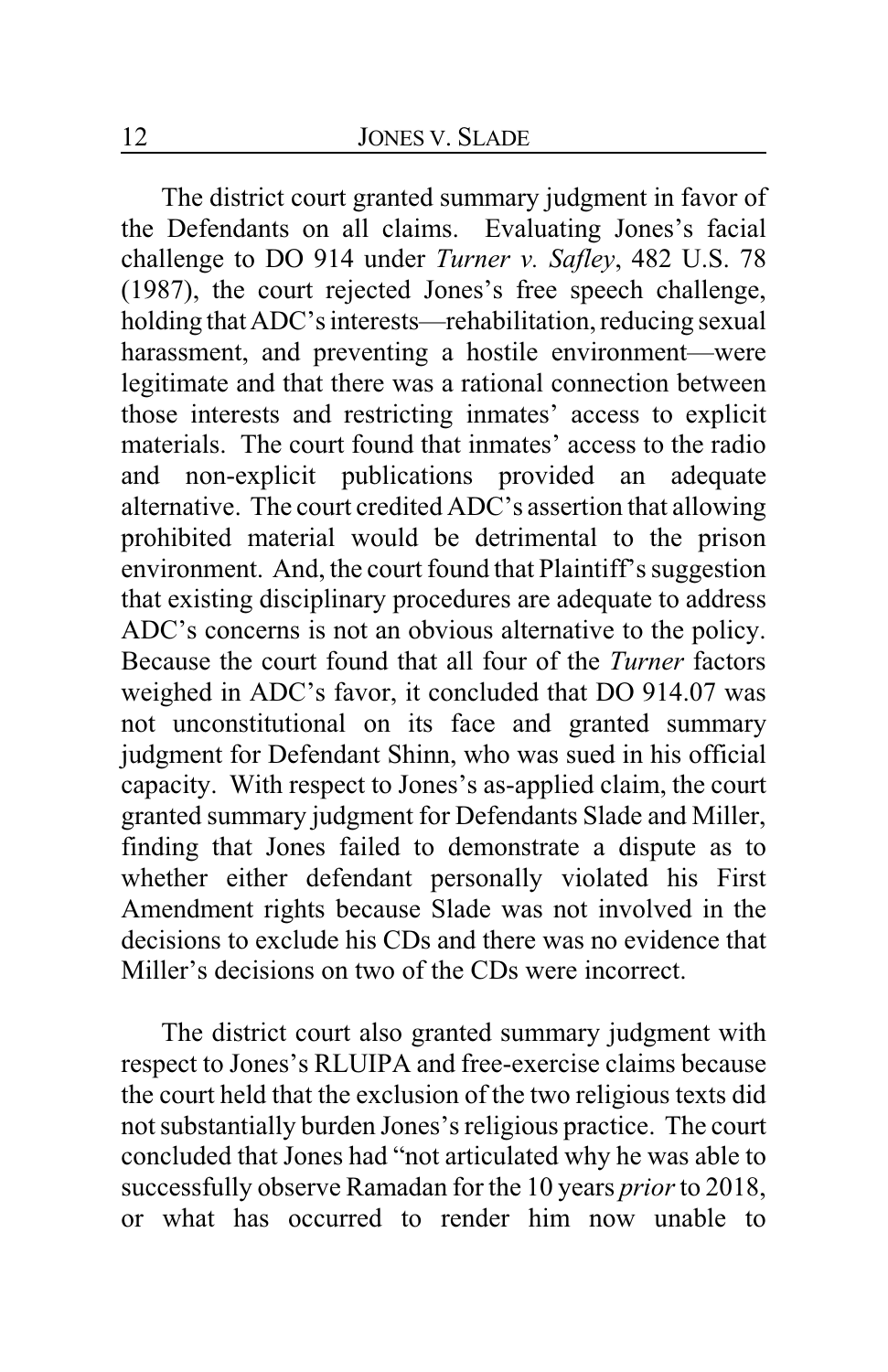The district court granted summary judgment in favor of the Defendants on all claims. Evaluating Jones's facial challenge to DO 914 under *Turner v. Safley*, 482 U.S. 78 (1987), the court rejected Jones's free speech challenge, holding that ADC's interests—rehabilitation, reducing sexual harassment, and preventing a hostile environment—were legitimate and that there was a rational connection between those interests and restricting inmates' access to explicit materials. The court found that inmates' access to the radio and non-explicit publications provided an adequate alternative. The court credited ADC's assertion that allowing prohibited material would be detrimental to the prison environment. And, the court found that Plaintiff's suggestion that existing disciplinary procedures are adequate to address ADC's concerns is not an obvious alternative to the policy. Because the court found that all four of the *Turner* factors weighed in ADC's favor, it concluded that DO 914.07 was not unconstitutional on its face and granted summary judgment for Defendant Shinn, who was sued in his official capacity. With respect to Jones's as-applied claim, the court granted summary judgment for Defendants Slade and Miller, finding that Jones failed to demonstrate a dispute as to whether either defendant personally violated his First Amendment rights because Slade was not involved in the decisions to exclude his CDs and there was no evidence that Miller's decisions on two of the CDs were incorrect.

The district court also granted summary judgment with respect to Jones's RLUIPA and free-exercise claims because the court held that the exclusion of the two religious texts did not substantially burden Jones's religious practice. The court concluded that Jones had "not articulated why he was able to successfully observe Ramadan for the 10 years *prior*to 2018, or what has occurred to render him now unable to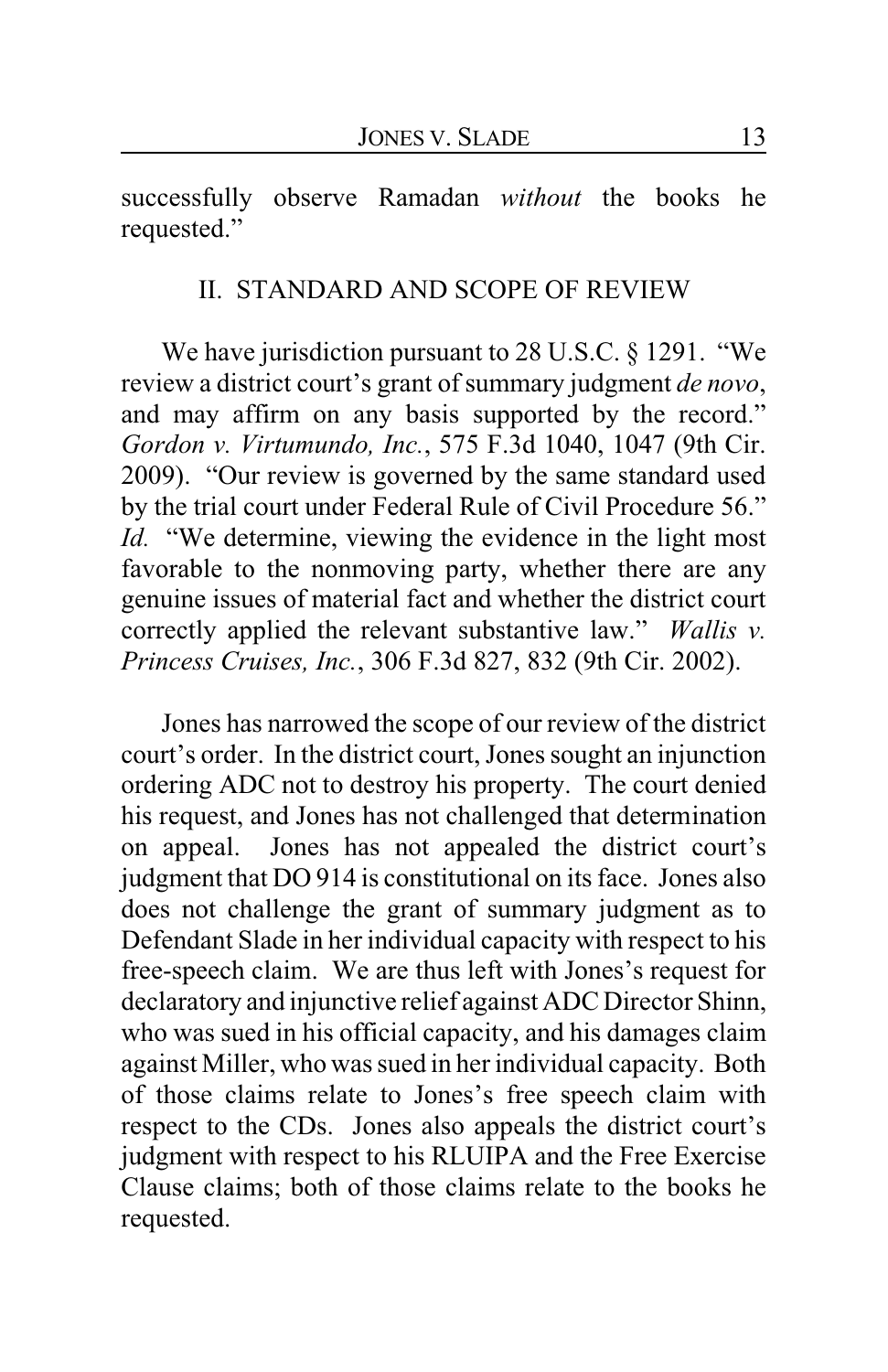successfully observe Ramadan *without* the books he requested."

### II. STANDARD AND SCOPE OF REVIEW

We have jurisdiction pursuant to 28 U.S.C. § 1291. "We review a district court's grant of summary judgment *de novo*, and may affirm on any basis supported by the record." *Gordon v. Virtumundo, Inc.*, 575 F.3d 1040, 1047 (9th Cir. 2009). "Our review is governed by the same standard used by the trial court under Federal Rule of Civil Procedure 56." *Id.* "We determine, viewing the evidence in the light most favorable to the nonmoving party, whether there are any genuine issues of material fact and whether the district court correctly applied the relevant substantive law." *Wallis v. Princess Cruises, Inc.*, 306 F.3d 827, 832 (9th Cir. 2002).

Jones has narrowed the scope of our review of the district court's order. In the district court, Jones sought an injunction ordering ADC not to destroy his property. The court denied his request, and Jones has not challenged that determination on appeal. Jones has not appealed the district court's judgment that DO 914 is constitutional on its face. Jones also does not challenge the grant of summary judgment as to Defendant Slade in her individual capacity with respect to his free-speech claim. We are thus left with Jones's request for declaratory and injunctive relief against ADC Director Shinn, who was sued in his official capacity, and his damages claim against Miller, who was sued in her individual capacity. Both of those claims relate to Jones's free speech claim with respect to the CDs. Jones also appeals the district court's judgment with respect to his RLUIPA and the Free Exercise Clause claims; both of those claims relate to the books he requested.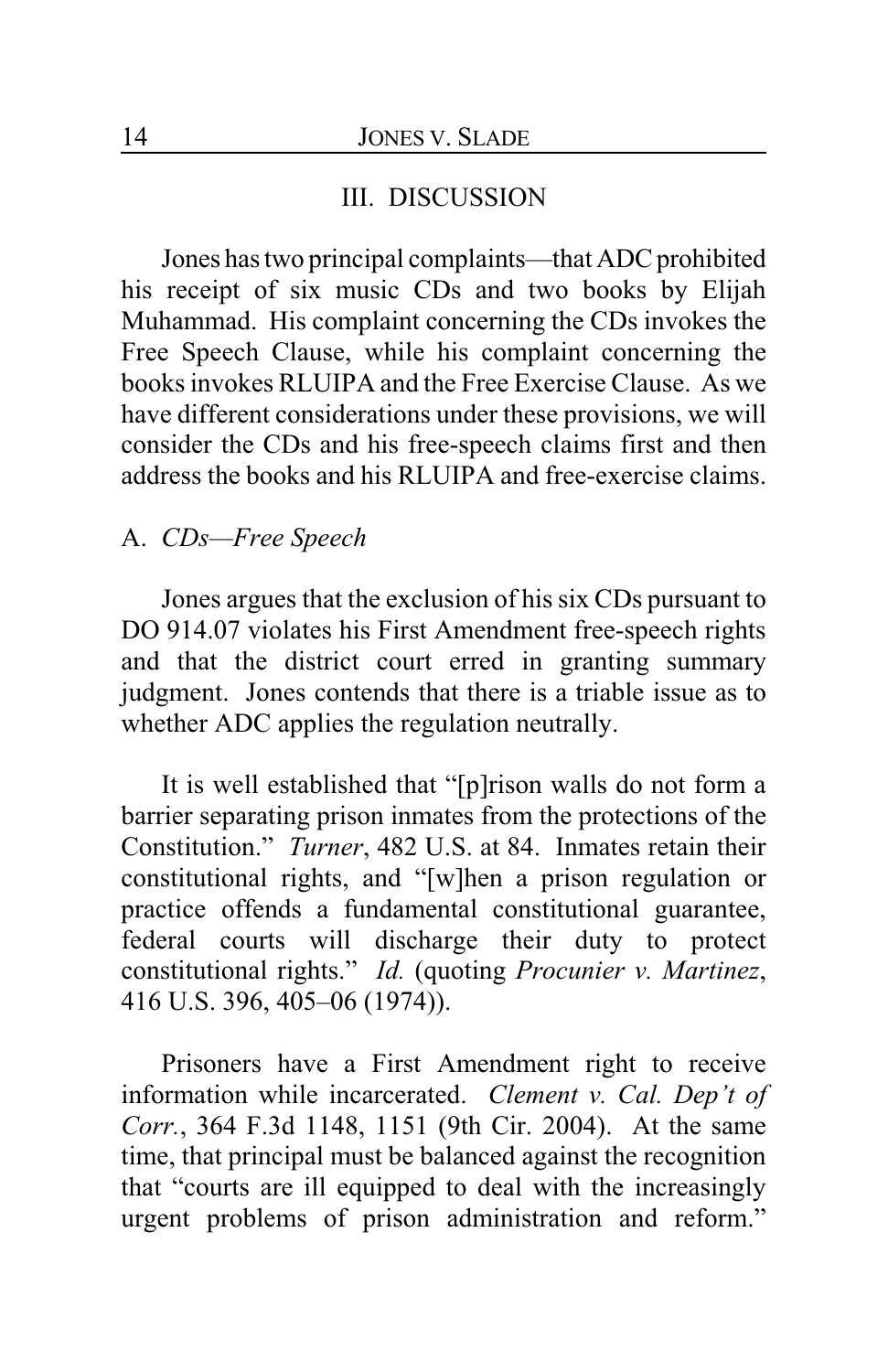## III. DISCUSSION

Jones has two principal complaints—that ADC prohibited his receipt of six music CDs and two books by Elijah Muhammad. His complaint concerning the CDs invokes the Free Speech Clause, while his complaint concerning the books invokes RLUIPA and the Free Exercise Clause. As we have different considerations under these provisions, we will consider the CDs and his free-speech claims first and then address the books and his RLUIPA and free-exercise claims.

## A. *CDs—Free Speech*

Jones argues that the exclusion of his six CDs pursuant to DO 914.07 violates his First Amendment free-speech rights and that the district court erred in granting summary judgment. Jones contends that there is a triable issue as to whether ADC applies the regulation neutrally.

It is well established that "[p]rison walls do not form a barrier separating prison inmates from the protections of the Constitution." *Turner*, 482 U.S. at 84. Inmates retain their constitutional rights, and "[w]hen a prison regulation or practice offends a fundamental constitutional guarantee, federal courts will discharge their duty to protect constitutional rights." *Id.* (quoting *Procunier v. Martinez*, 416 U.S. 396, 405–06 (1974)).

Prisoners have a First Amendment right to receive information while incarcerated. *Clement v. Cal. Dep't of Corr.*, 364 F.3d 1148, 1151 (9th Cir. 2004). At the same time, that principal must be balanced against the recognition that "courts are ill equipped to deal with the increasingly urgent problems of prison administration and reform."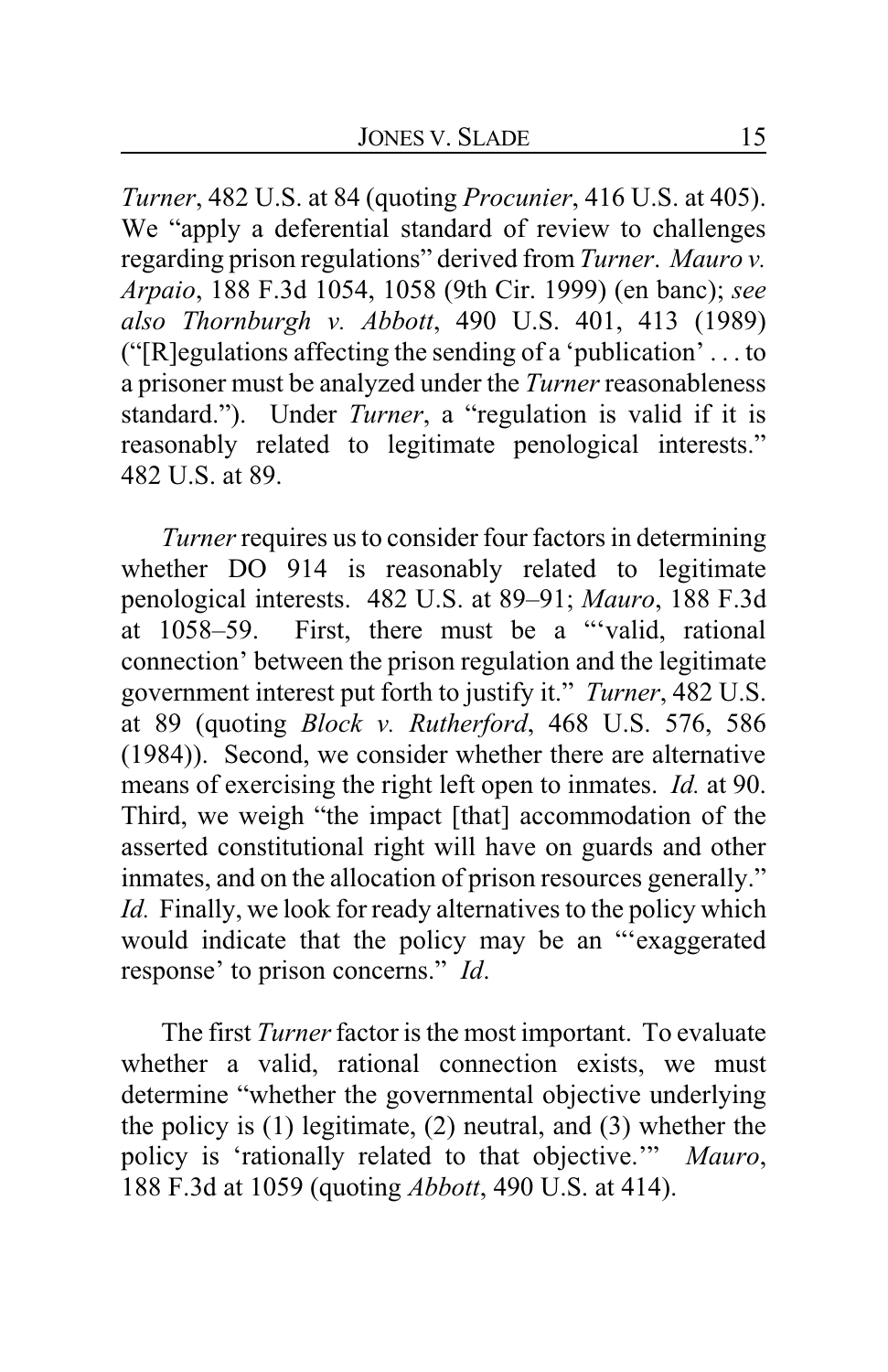*Turner*, 482 U.S. at 84 (quoting *Procunier*, 416 U.S. at 405). We "apply a deferential standard of review to challenges regarding prison regulations" derived from *Turner*. *Mauro v. Arpaio*, 188 F.3d 1054, 1058 (9th Cir. 1999) (en banc); *see also Thornburgh v. Abbott*, 490 U.S. 401, 413 (1989) ("[R]egulations affecting the sending of a 'publication' . . . to a prisoner must be analyzed under the *Turner* reasonableness standard."). Under *Turner*, a "regulation is valid if it is reasonably related to legitimate penological interests." 482 U.S. at 89.

*Turner*requires us to consider four factors in determining whether DO 914 is reasonably related to legitimate penological interests. 482 U.S. at 89–91; *Mauro*, 188 F.3d at 1058–59. First, there must be a "'valid, rational connection' between the prison regulation and the legitimate government interest put forth to justify it." *Turner*, 482 U.S. at 89 (quoting *Block v. Rutherford*, 468 U.S. 576, 586 (1984)). Second, we consider whether there are alternative means of exercising the right left open to inmates. *Id.* at 90. Third, we weigh "the impact [that] accommodation of the asserted constitutional right will have on guards and other inmates, and on the allocation of prison resources generally." *Id.* Finally, we look for ready alternatives to the policy which would indicate that the policy may be an "'exaggerated response' to prison concerns." *Id*.

The first *Turner* factor is the most important. To evaluate whether a valid, rational connection exists, we must determine "whether the governmental objective underlying the policy is (1) legitimate, (2) neutral, and (3) whether the policy is 'rationally related to that objective.'" *Mauro*, 188 F.3d at 1059 (quoting *Abbott*, 490 U.S. at 414).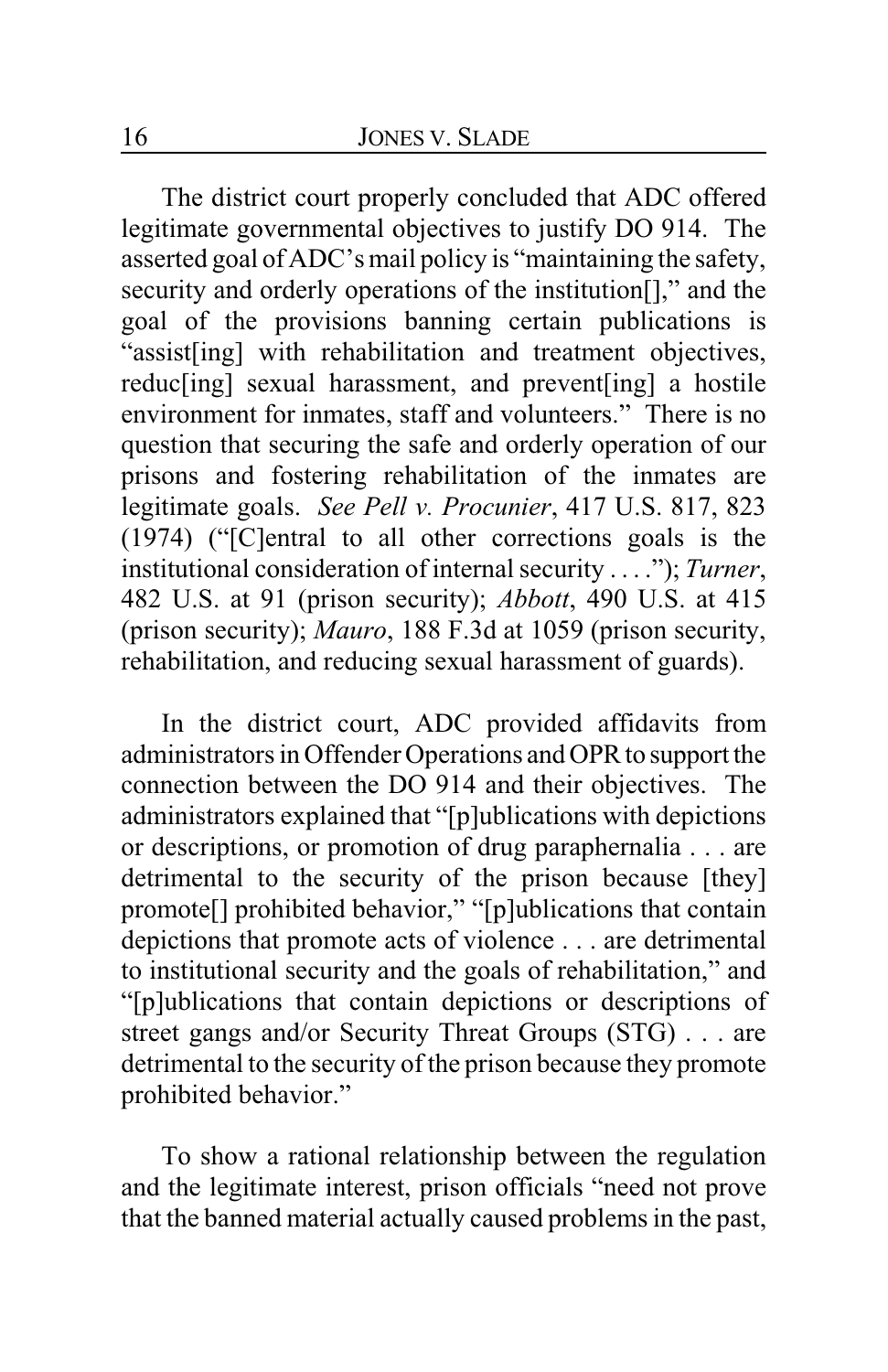The district court properly concluded that ADC offered legitimate governmental objectives to justify DO 914. The asserted goal of ADC's mail policy is "maintaining the safety, security and orderly operations of the institution<sup>[]</sup>," and the goal of the provisions banning certain publications is "assist[ing] with rehabilitation and treatment objectives, reduc[ing] sexual harassment, and prevent[ing] a hostile environment for inmates, staff and volunteers." There is no question that securing the safe and orderly operation of our prisons and fostering rehabilitation of the inmates are legitimate goals. *See Pell v. Procunier*, 417 U.S. 817, 823 (1974) ("[C]entral to all other corrections goals is the institutional consideration of internal security . . . ."); *Turner*, 482 U.S. at 91 (prison security); *Abbott*, 490 U.S. at 415 (prison security); *Mauro*, 188 F.3d at 1059 (prison security, rehabilitation, and reducing sexual harassment of guards).

In the district court, ADC provided affidavits from administrators in Offender Operations and OPR to support the connection between the DO 914 and their objectives. The administrators explained that "[p]ublications with depictions or descriptions, or promotion of drug paraphernalia . . . are detrimental to the security of the prison because [they] promote[] prohibited behavior," "[p]ublications that contain depictions that promote acts of violence . . . are detrimental to institutional security and the goals of rehabilitation," and "[p]ublications that contain depictions or descriptions of street gangs and/or Security Threat Groups (STG) . . . are detrimental to the security of the prison because they promote prohibited behavior."

To show a rational relationship between the regulation and the legitimate interest, prison officials "need not prove that the banned material actually caused problems in the past,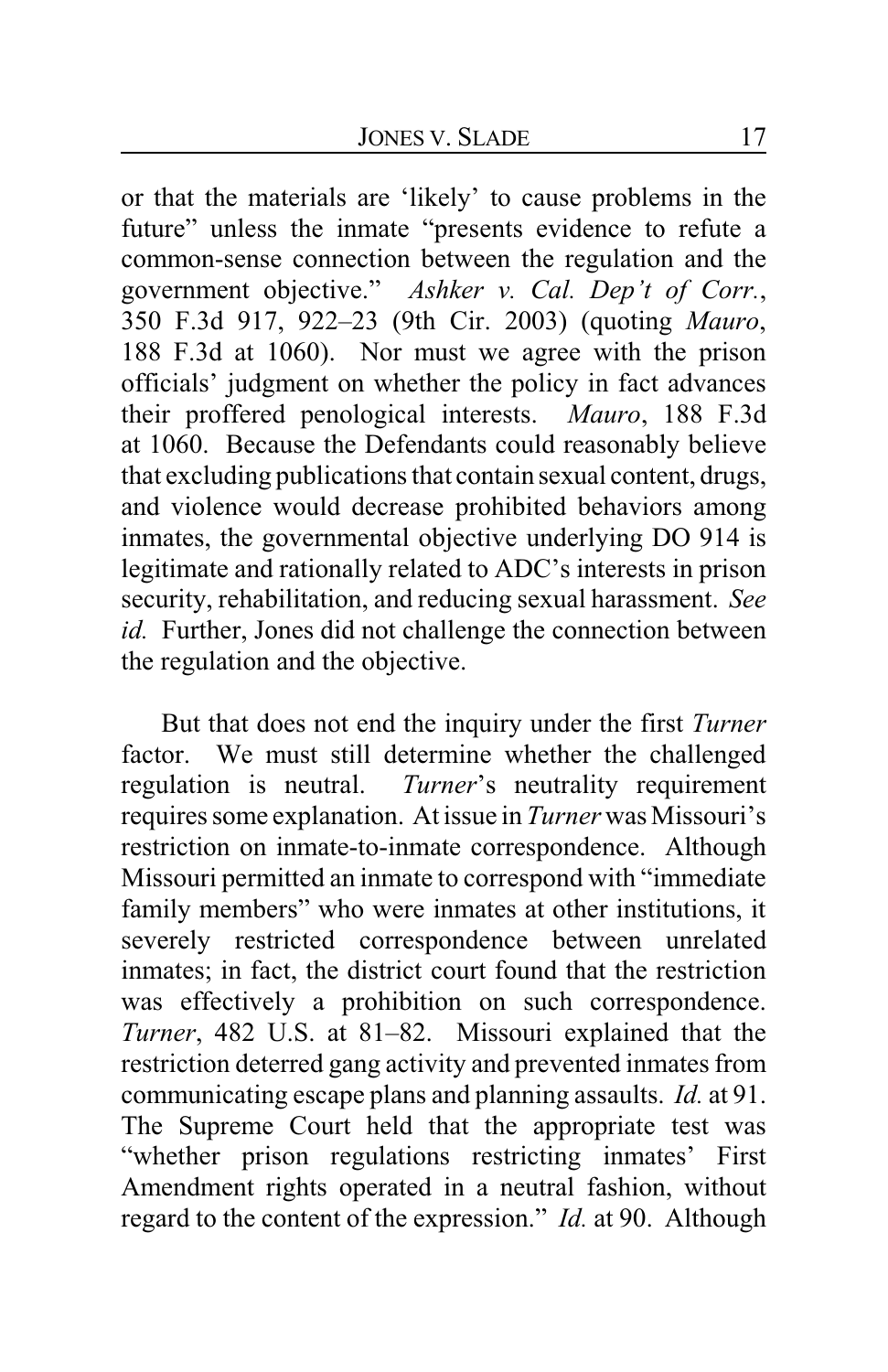or that the materials are 'likely' to cause problems in the future" unless the inmate "presents evidence to refute a common-sense connection between the regulation and the government objective." *Ashker v. Cal. Dep't of Corr.*, 350 F.3d 917, 922–23 (9th Cir. 2003) (quoting *Mauro*, 188 F.3d at 1060). Nor must we agree with the prison officials' judgment on whether the policy in fact advances their proffered penological interests. *Mauro*, 188 F.3d at 1060. Because the Defendants could reasonably believe that excluding publications that contain sexual content, drugs, and violence would decrease prohibited behaviors among inmates, the governmental objective underlying DO 914 is legitimate and rationally related to ADC's interests in prison security, rehabilitation, and reducing sexual harassment. *See id.* Further, Jones did not challenge the connection between the regulation and the objective.

But that does not end the inquiry under the first *Turner* factor. We must still determine whether the challenged regulation is neutral. *Turner*'s neutrality requirement requires some explanation. At issue in *Turner* was Missouri's restriction on inmate-to-inmate correspondence. Although Missouri permitted an inmate to correspond with "immediate family members" who were inmates at other institutions, it severely restricted correspondence between unrelated inmates; in fact, the district court found that the restriction was effectively a prohibition on such correspondence. *Turner*, 482 U.S. at 81–82. Missouri explained that the restriction deterred gang activity and prevented inmates from communicating escape plans and planning assaults. *Id.* at 91. The Supreme Court held that the appropriate test was "whether prison regulations restricting inmates' First Amendment rights operated in a neutral fashion, without regard to the content of the expression." *Id.* at 90. Although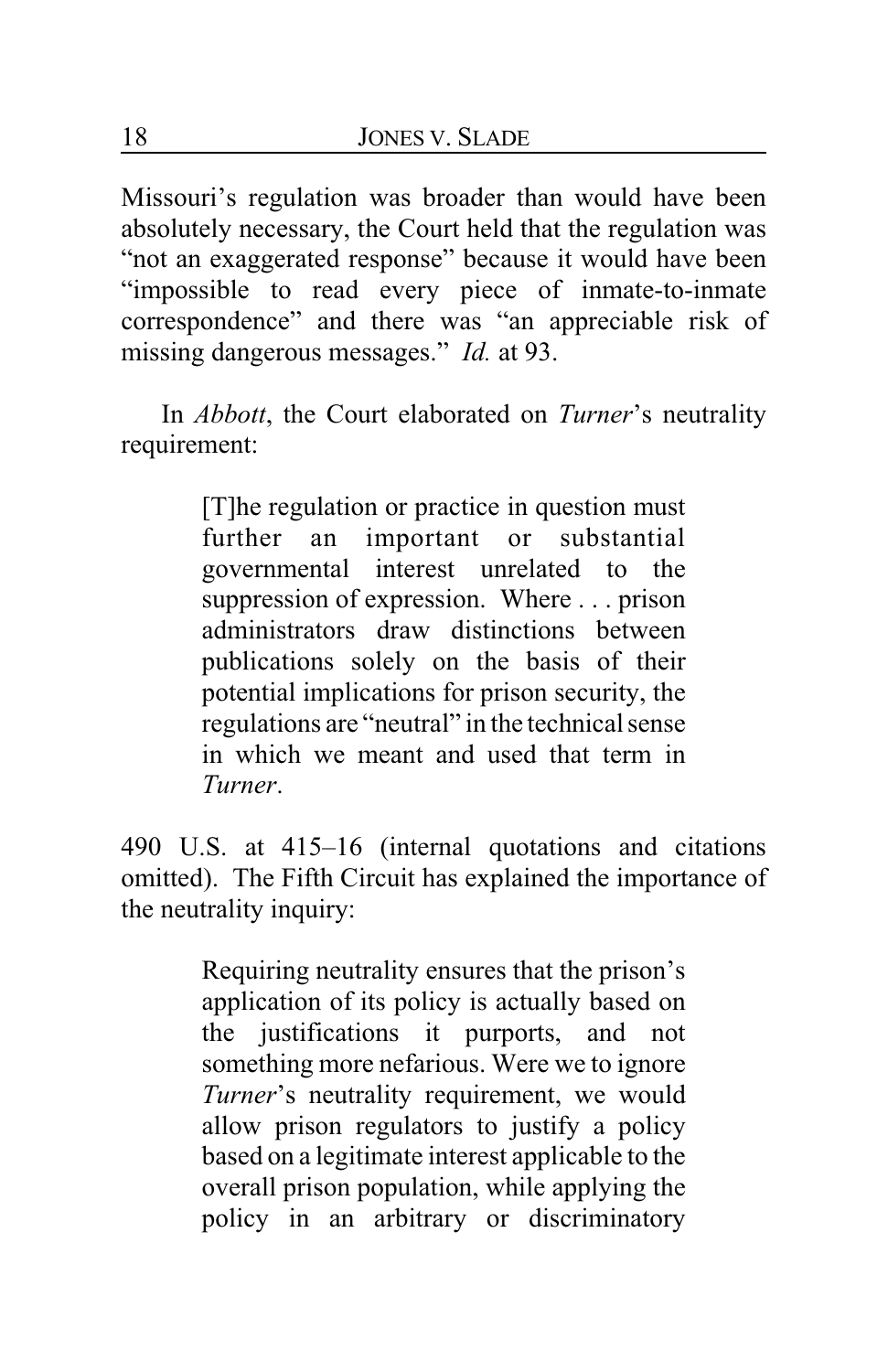Missouri's regulation was broader than would have been absolutely necessary, the Court held that the regulation was "not an exaggerated response" because it would have been "impossible to read every piece of inmate-to-inmate correspondence" and there was "an appreciable risk of missing dangerous messages." *Id.* at 93.

In *Abbott*, the Court elaborated on *Turner*'s neutrality requirement:

> [T]he regulation or practice in question must further an important or substantial governmental interest unrelated to the suppression of expression. Where . . . prison administrators draw distinctions between publications solely on the basis of their potential implications for prison security, the regulations are "neutral" in the technical sense in which we meant and used that term in *Turner*.

490 U.S. at 415–16 (internal quotations and citations omitted). The Fifth Circuit has explained the importance of the neutrality inquiry:

> Requiring neutrality ensures that the prison's application of its policy is actually based on the justifications it purports, and not something more nefarious. Were we to ignore *Turner*'s neutrality requirement, we would allow prison regulators to justify a policy based on a legitimate interest applicable to the overall prison population, while applying the policy in an arbitrary or discriminatory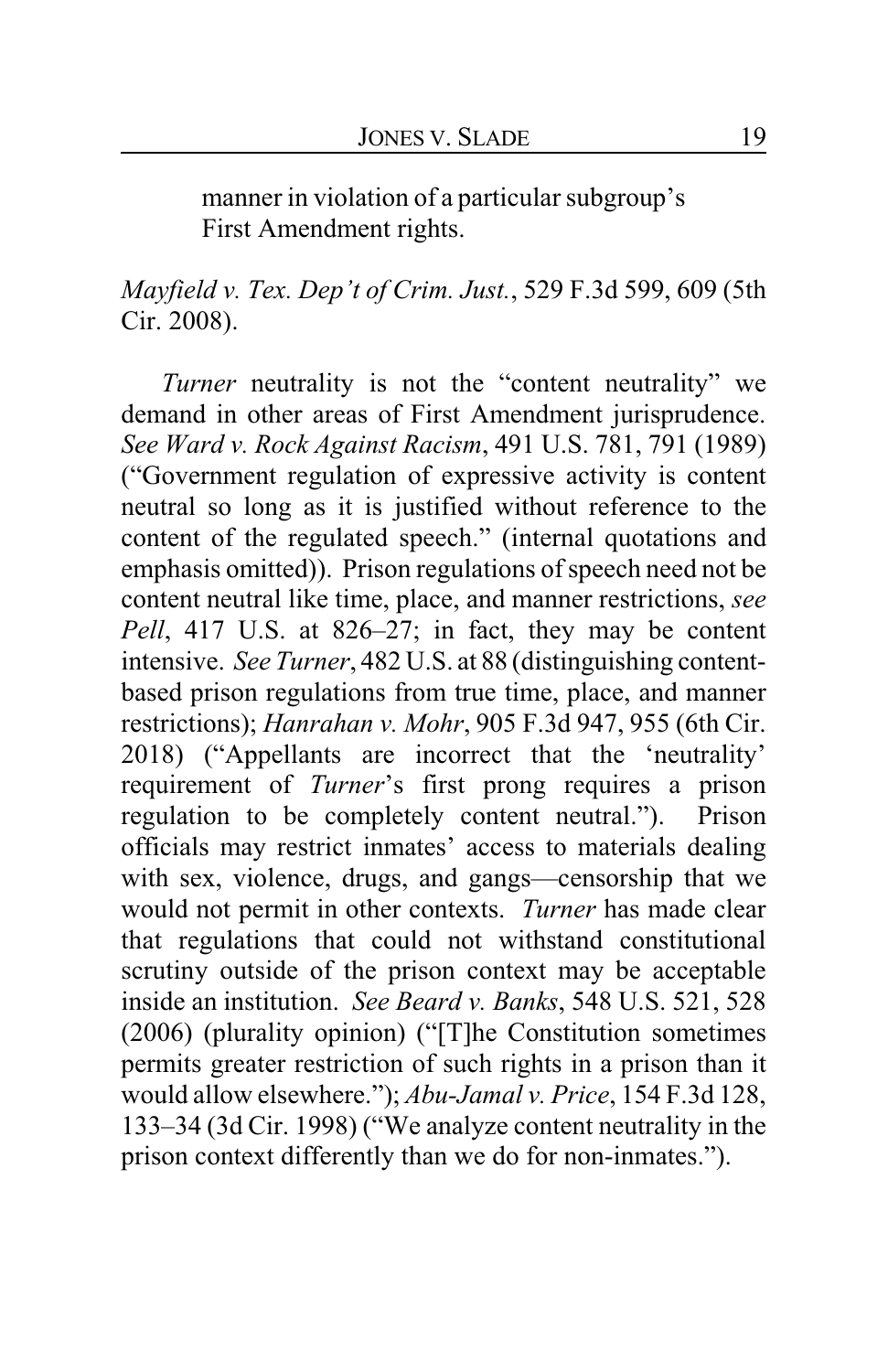manner in violation of a particular subgroup's First Amendment rights.

*Mayfield v. Tex. Dep't of Crim. Just.*, 529 F.3d 599, 609 (5th Cir. 2008).

*Turner* neutrality is not the "content neutrality" we demand in other areas of First Amendment jurisprudence. *See Ward v. Rock Against Racism*, 491 U.S. 781, 791 (1989) ("Government regulation of expressive activity is content neutral so long as it is justified without reference to the content of the regulated speech." (internal quotations and emphasis omitted)). Prison regulations of speech need not be content neutral like time, place, and manner restrictions, *see Pell*, 417 U.S. at 826–27; in fact, they may be content intensive. *See Turner*, 482 U.S. at 88 (distinguishing contentbased prison regulations from true time, place, and manner restrictions); *Hanrahan v. Mohr*, 905 F.3d 947, 955 (6th Cir. 2018) ("Appellants are incorrect that the 'neutrality' requirement of *Turner*'s first prong requires a prison regulation to be completely content neutral."). Prison officials may restrict inmates' access to materials dealing with sex, violence, drugs, and gangs—censorship that we would not permit in other contexts. *Turner* has made clear that regulations that could not withstand constitutional scrutiny outside of the prison context may be acceptable inside an institution. *See Beard v. Banks*, 548 U.S. 521, 528 (2006) (plurality opinion) ("[T]he Constitution sometimes permits greater restriction of such rights in a prison than it would allow elsewhere."); *Abu-Jamal v. Price*, 154 F.3d 128, 133–34 (3d Cir. 1998) ("We analyze content neutrality in the prison context differently than we do for non-inmates.").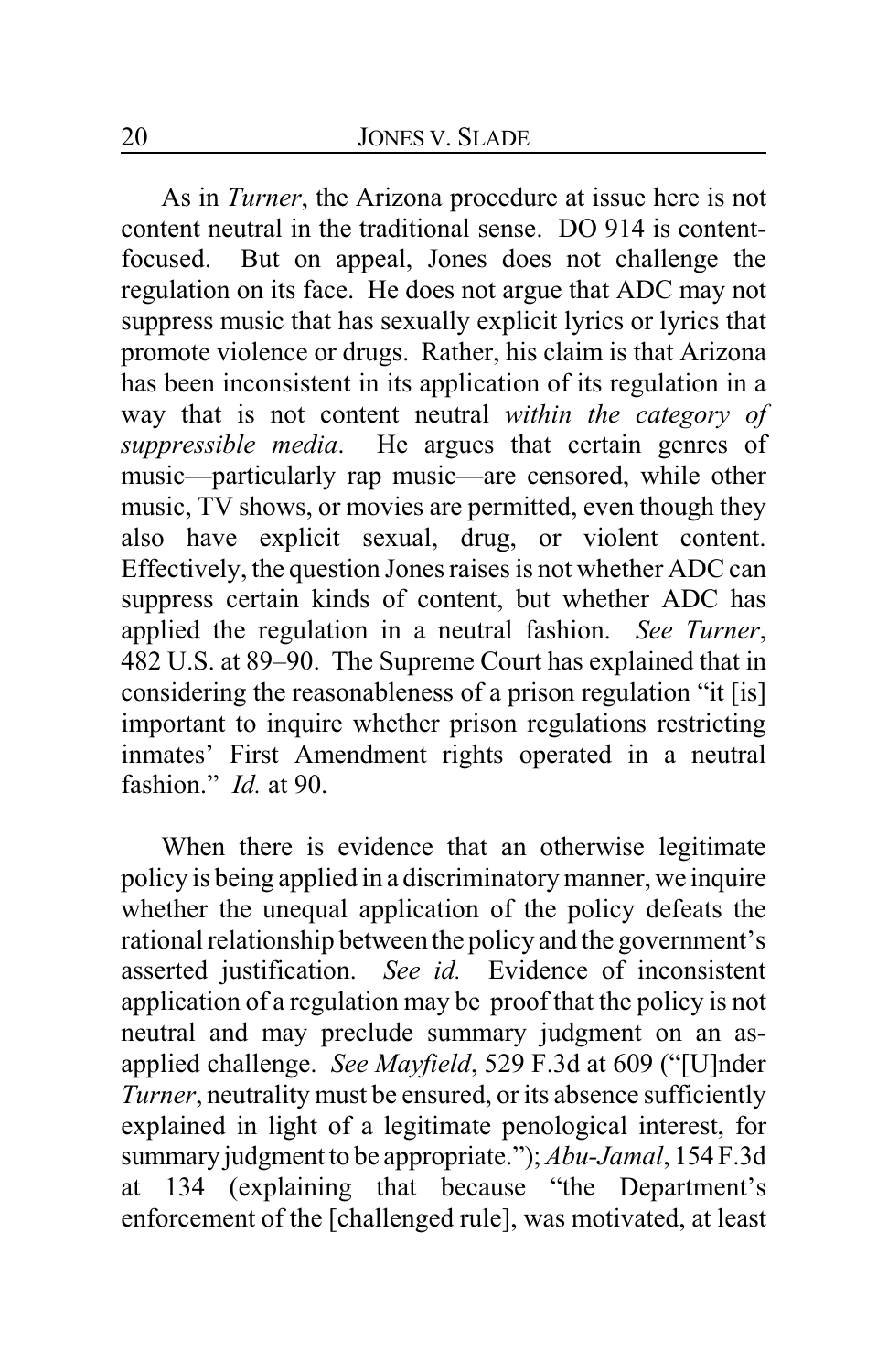As in *Turner*, the Arizona procedure at issue here is not content neutral in the traditional sense. DO 914 is contentfocused. But on appeal, Jones does not challenge the regulation on its face. He does not argue that ADC may not suppress music that has sexually explicit lyrics or lyrics that promote violence or drugs. Rather, his claim is that Arizona has been inconsistent in its application of its regulation in a way that is not content neutral *within the category of suppressible media*. He argues that certain genres of music—particularly rap music—are censored, while other music, TV shows, or movies are permitted, even though they also have explicit sexual, drug, or violent content. Effectively, the question Jones raises is not whether ADC can suppress certain kinds of content, but whether ADC has applied the regulation in a neutral fashion. *See Turner*, 482 U.S. at 89–90. The Supreme Court has explained that in considering the reasonableness of a prison regulation "it [is] important to inquire whether prison regulations restricting inmates' First Amendment rights operated in a neutral fashion." *Id.* at 90.

When there is evidence that an otherwise legitimate policy is being applied in a discriminatory manner, we inquire whether the unequal application of the policy defeats the rational relationship between the policy and the government's asserted justification. *See id.* Evidence of inconsistent application of a regulation may be proof that the policy is not neutral and may preclude summary judgment on an asapplied challenge. *See Mayfield*, 529 F.3d at 609 ("[U]nder *Turner*, neutrality must be ensured, or its absence sufficiently explained in light of a legitimate penological interest, for summary judgment to be appropriate."); *Abu-Jamal*, 154 F.3d at 134 (explaining that because "the Department's enforcement of the [challenged rule], was motivated, at least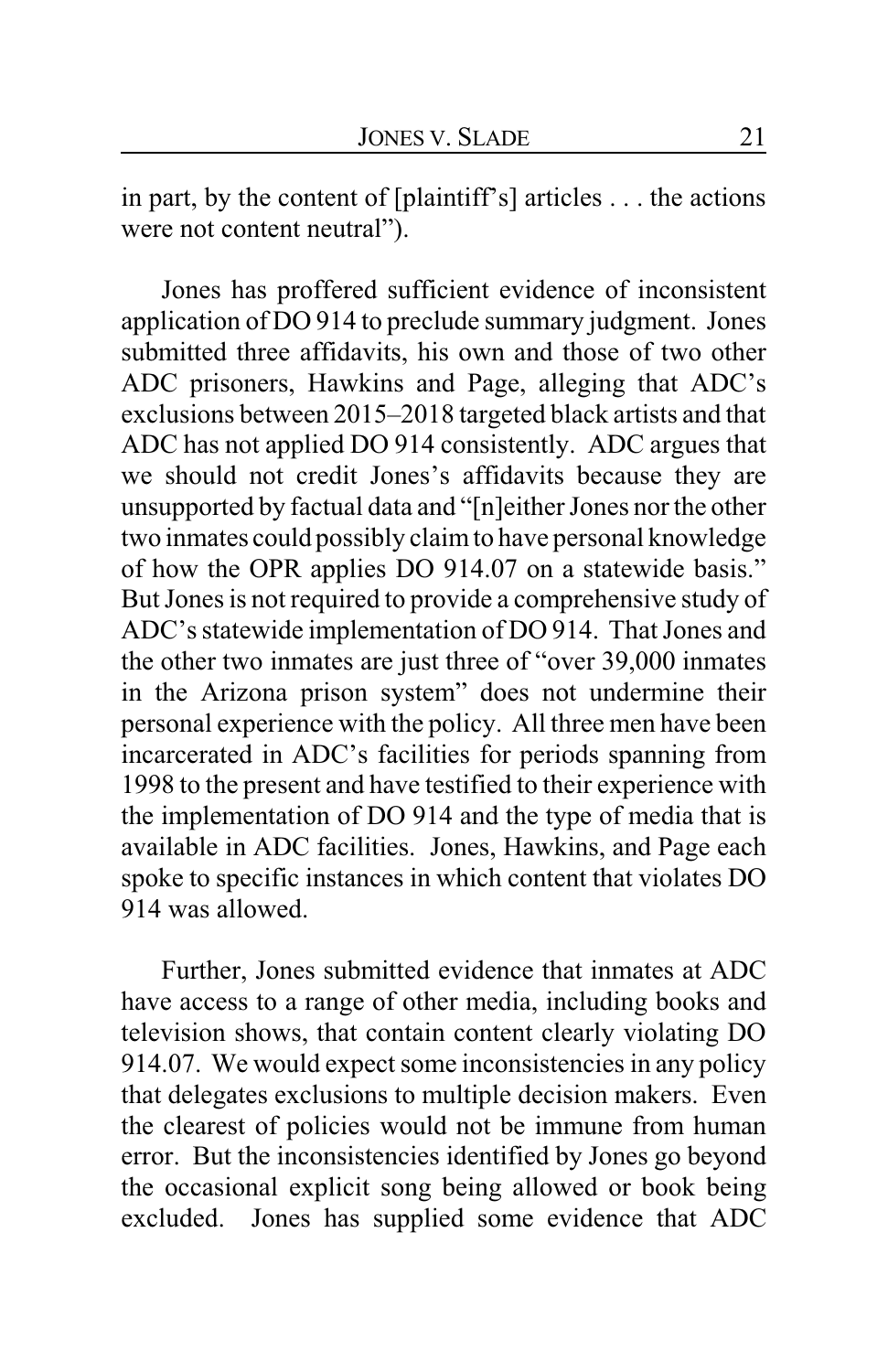in part, by the content of [plaintiff's] articles . . . the actions were not content neutral").

Jones has proffered sufficient evidence of inconsistent application of DO 914 to preclude summary judgment. Jones submitted three affidavits, his own and those of two other ADC prisoners, Hawkins and Page, alleging that ADC's exclusions between 2015–2018 targeted black artists and that ADC has not applied DO 914 consistently. ADC argues that we should not credit Jones's affidavits because they are unsupported by factual data and "[n]either Jones nor the other two inmates could possibly claimto have personal knowledge of how the OPR applies DO 914.07 on a statewide basis." But Jones is not required to provide a comprehensive study of ADC's statewide implementation of DO 914. That Jones and the other two inmates are just three of "over 39,000 inmates in the Arizona prison system" does not undermine their personal experience with the policy. All three men have been incarcerated in ADC's facilities for periods spanning from 1998 to the present and have testified to their experience with the implementation of DO 914 and the type of media that is available in ADC facilities. Jones, Hawkins, and Page each spoke to specific instances in which content that violates DO 914 was allowed.

Further, Jones submitted evidence that inmates at ADC have access to a range of other media, including books and television shows, that contain content clearly violating DO 914.07. We would expect some inconsistencies in any policy that delegates exclusions to multiple decision makers. Even the clearest of policies would not be immune from human error. But the inconsistencies identified by Jones go beyond the occasional explicit song being allowed or book being excluded. Jones has supplied some evidence that ADC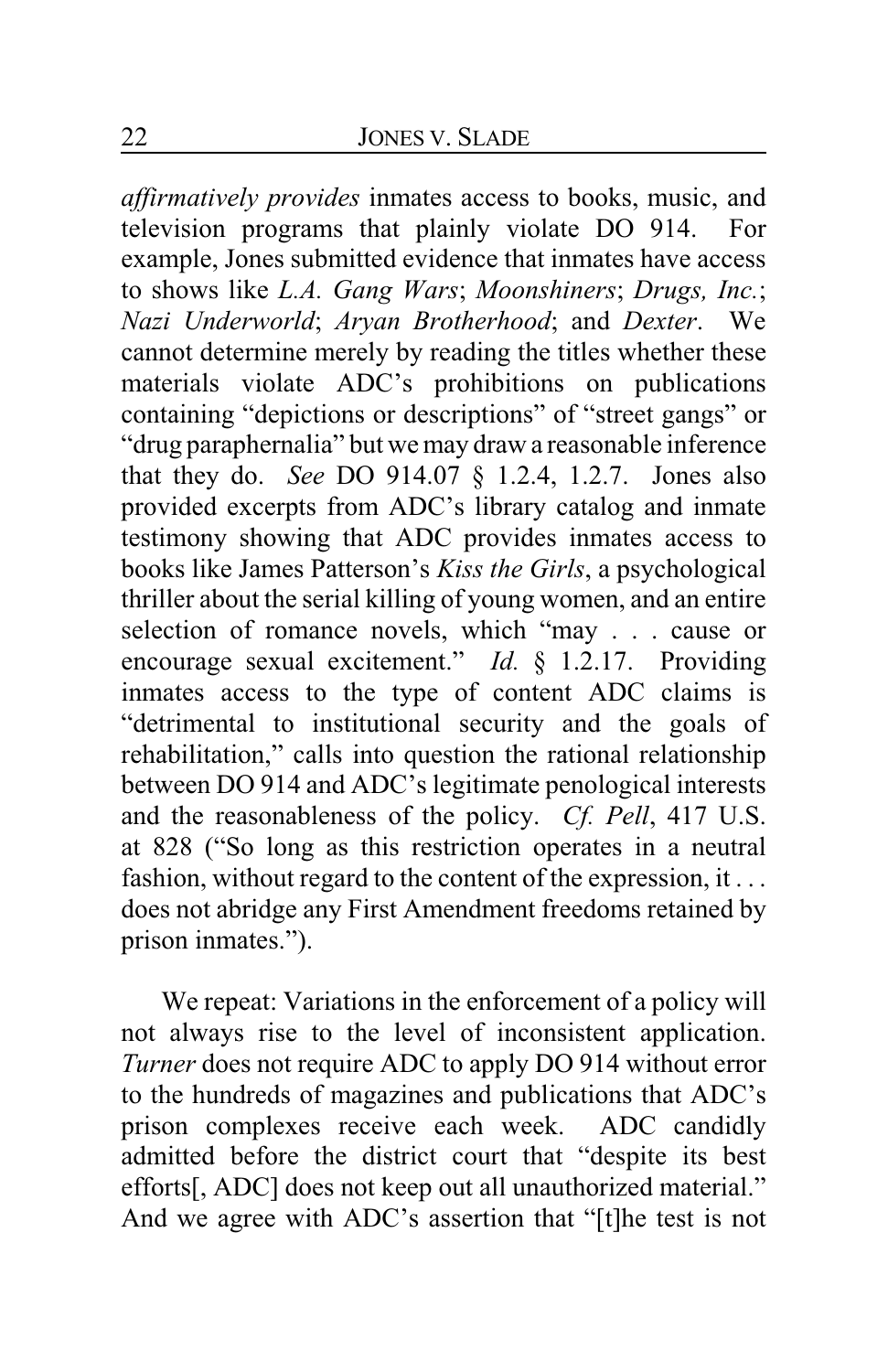*affirmatively provides* inmates access to books, music, and television programs that plainly violate DO 914. For example, Jones submitted evidence that inmates have access to shows like *L.A. Gang Wars*; *Moonshiners*; *Drugs, Inc.*; *Nazi Underworld*; *Aryan Brotherhood*; and *Dexter*. We cannot determine merely by reading the titles whether these materials violate ADC's prohibitions on publications containing "depictions or descriptions" of "street gangs" or "drug paraphernalia" but we may draw a reasonable inference that they do. *See* DO 914.07 § 1.2.4, 1.2.7. Jones also provided excerpts from ADC's library catalog and inmate testimony showing that ADC provides inmates access to books like James Patterson's *Kiss the Girls*, a psychological thriller about the serial killing of young women, and an entire selection of romance novels, which "may . . . cause or encourage sexual excitement." *Id.* § 1.2.17. Providing inmates access to the type of content ADC claims is "detrimental to institutional security and the goals of rehabilitation," calls into question the rational relationship between DO 914 and ADC's legitimate penological interests and the reasonableness of the policy. *Cf. Pell*, 417 U.S. at 828 ("So long as this restriction operates in a neutral fashion, without regard to the content of the expression, it ... does not abridge any First Amendment freedoms retained by prison inmates.").

We repeat: Variations in the enforcement of a policy will not always rise to the level of inconsistent application. *Turner* does not require ADC to apply DO 914 without error to the hundreds of magazines and publications that ADC's prison complexes receive each week. ADC candidly admitted before the district court that "despite its best efforts[, ADC] does not keep out all unauthorized material." And we agree with ADC's assertion that "[t]he test is not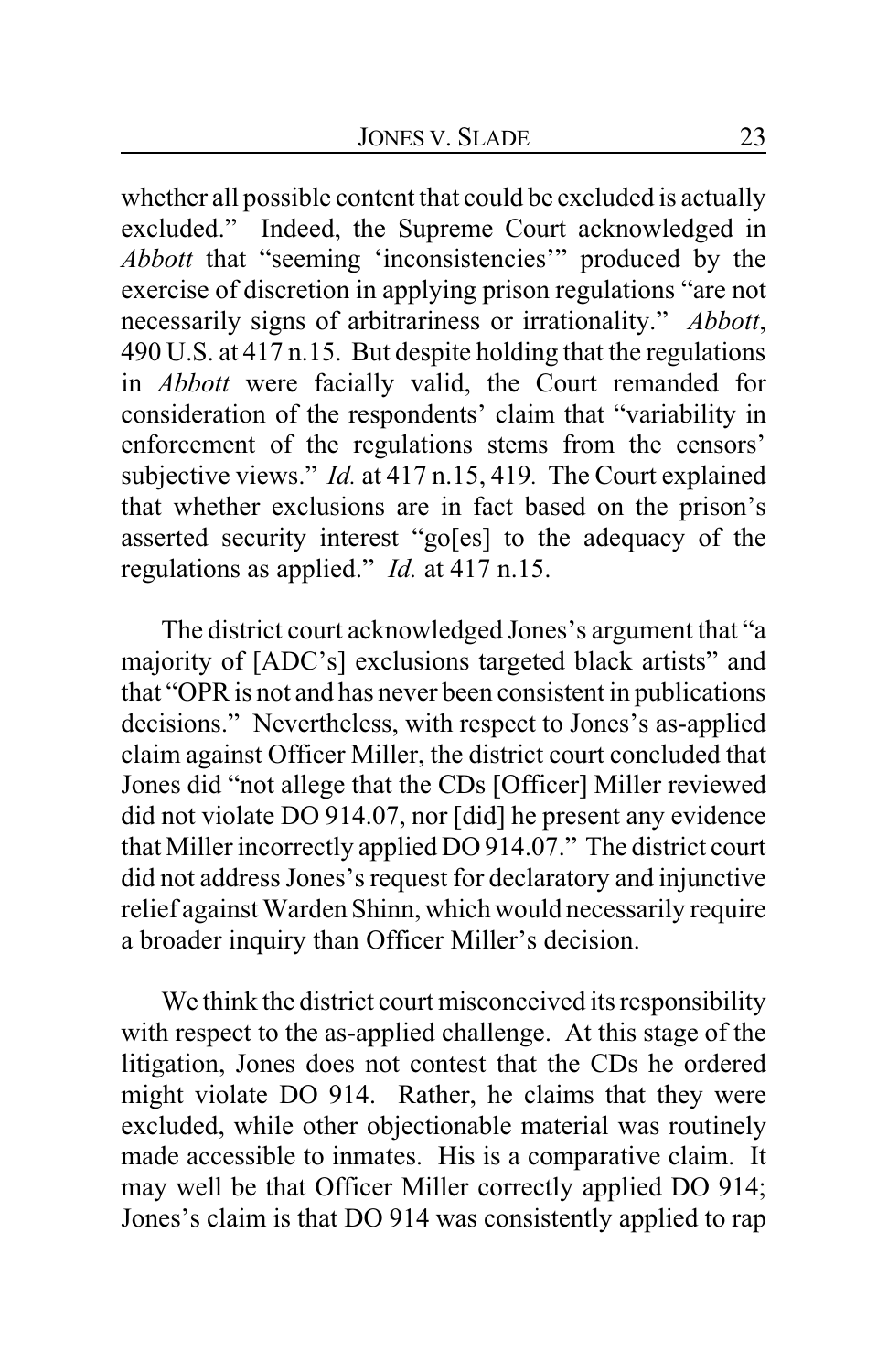whether all possible content that could be excluded is actually excluded." Indeed, the Supreme Court acknowledged in *Abbott* that "seeming 'inconsistencies'" produced by the exercise of discretion in applying prison regulations "are not necessarily signs of arbitrariness or irrationality." *Abbott*, 490 U.S. at 417 n.15. But despite holding that the regulations in *Abbott* were facially valid, the Court remanded for consideration of the respondents' claim that "variability in enforcement of the regulations stems from the censors' subjective views." *Id.* at 417 n.15, 419. The Court explained that whether exclusions are in fact based on the prison's asserted security interest "go[es] to the adequacy of the regulations as applied." *Id.* at 417 n.15.

The district court acknowledged Jones's argument that "a majority of [ADC's] exclusions targeted black artists" and that "OPR is not and has never been consistent in publications decisions." Nevertheless, with respect to Jones's as-applied claim against Officer Miller, the district court concluded that Jones did "not allege that the CDs [Officer] Miller reviewed did not violate DO 914.07, nor [did] he present any evidence that Miller incorrectly applied DO 914.07." The district court did not address Jones's request for declaratory and injunctive relief against Warden Shinn, which would necessarily require a broader inquiry than Officer Miller's decision.

We think the district court misconceived its responsibility with respect to the as-applied challenge. At this stage of the litigation, Jones does not contest that the CDs he ordered might violate DO 914. Rather, he claims that they were excluded, while other objectionable material was routinely made accessible to inmates. His is a comparative claim. It may well be that Officer Miller correctly applied DO 914; Jones's claim is that DO 914 was consistently applied to rap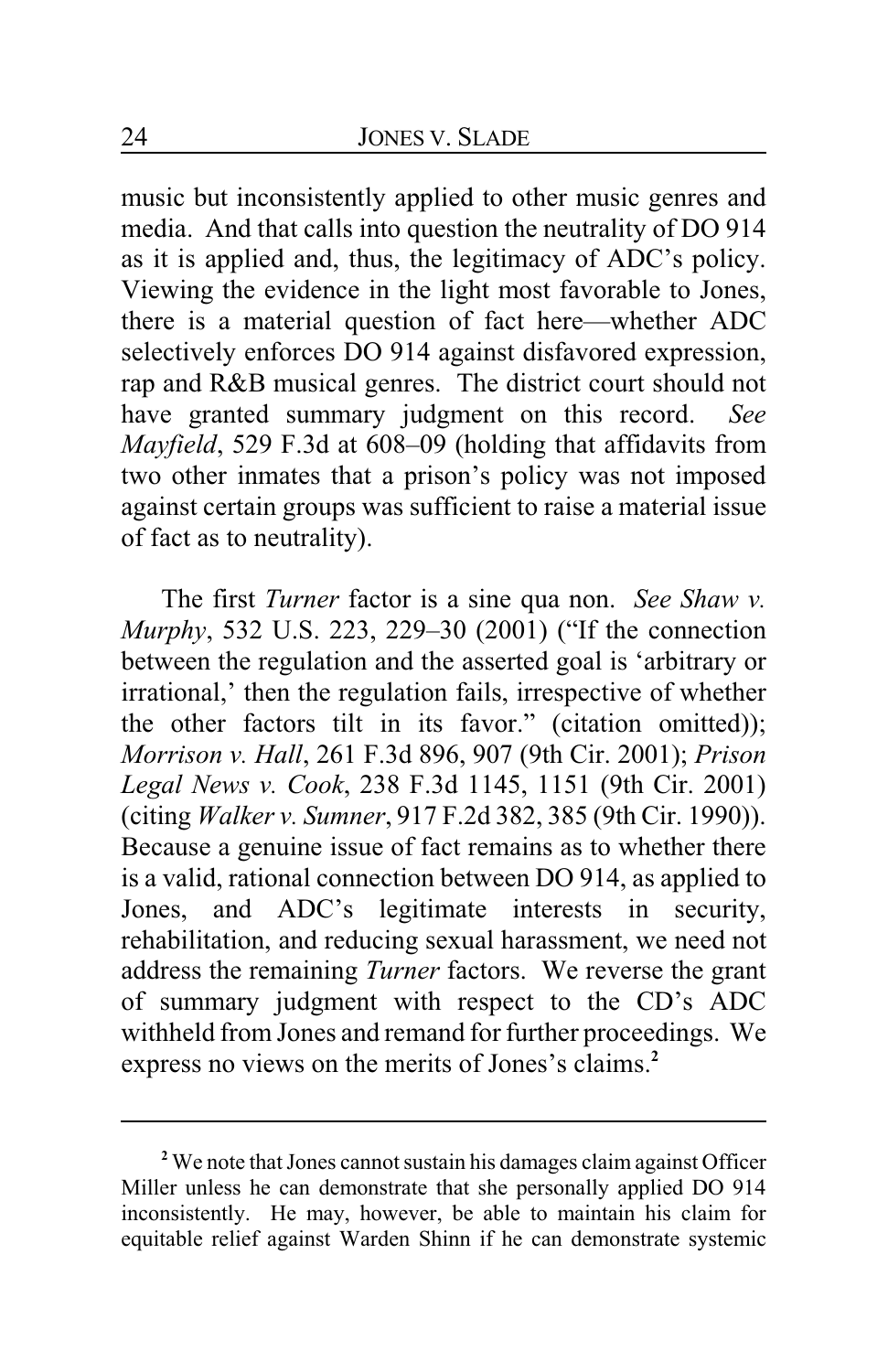music but inconsistently applied to other music genres and media. And that calls into question the neutrality of DO 914 as it is applied and, thus, the legitimacy of ADC's policy. Viewing the evidence in the light most favorable to Jones, there is a material question of fact here—whether ADC selectively enforces DO 914 against disfavored expression, rap and R&B musical genres. The district court should not have granted summary judgment on this record. *See Mayfield*, 529 F.3d at 608–09 (holding that affidavits from two other inmates that a prison's policy was not imposed against certain groups was sufficient to raise a material issue of fact as to neutrality).

The first *Turner* factor is a sine qua non. *See Shaw v. Murphy*, 532 U.S. 223, 229–30 (2001) ("If the connection between the regulation and the asserted goal is 'arbitrary or irrational,' then the regulation fails, irrespective of whether the other factors tilt in its favor." (citation omitted)); *Morrison v. Hall*, 261 F.3d 896, 907 (9th Cir. 2001); *Prison Legal News v. Cook*, 238 F.3d 1145, 1151 (9th Cir. 2001) (citing *Walker v. Sumner*, 917 F.2d 382, 385 (9th Cir. 1990)). Because a genuine issue of fact remains as to whether there is a valid, rational connection between DO 914, as applied to Jones, and ADC's legitimate interests in security, rehabilitation, and reducing sexual harassment, we need not address the remaining *Turner* factors. We reverse the grant of summary judgment with respect to the CD's ADC withheld from Jones and remand for further proceedings. We express no views on the merits of Jones's claims.**<sup>2</sup>**

**<sup>2</sup>** We note that Jones cannot sustain his damages claim against Officer Miller unless he can demonstrate that she personally applied DO 914 inconsistently. He may, however, be able to maintain his claim for equitable relief against Warden Shinn if he can demonstrate systemic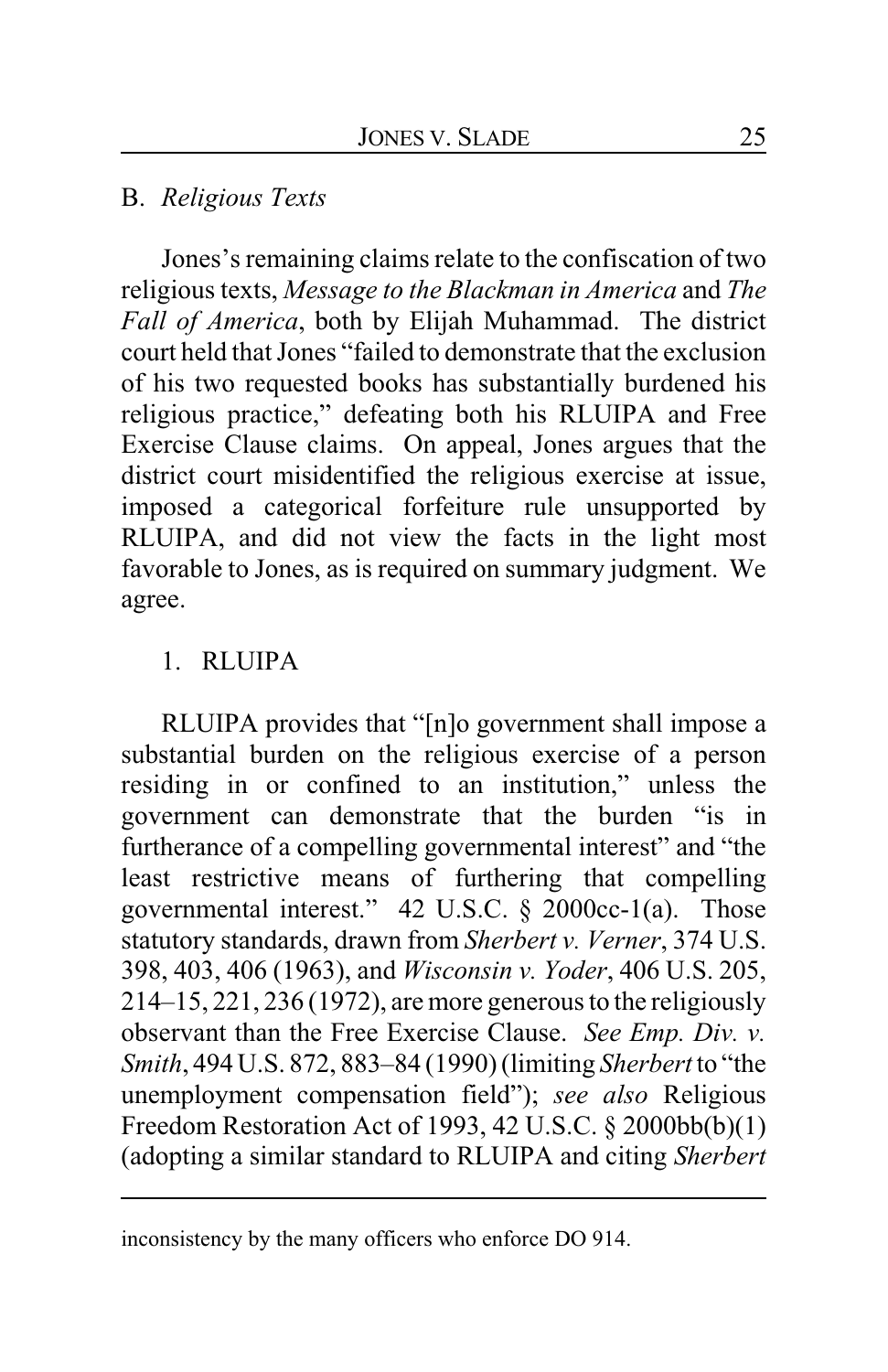### B. *Religious Texts*

Jones's remaining claims relate to the confiscation of two religious texts, *Message to the Blackman in America* and *The Fall of America*, both by Elijah Muhammad. The district court held that Jones "failed to demonstrate that the exclusion of his two requested books has substantially burdened his religious practice," defeating both his RLUIPA and Free Exercise Clause claims. On appeal, Jones argues that the district court misidentified the religious exercise at issue, imposed a categorical forfeiture rule unsupported by RLUIPA, and did not view the facts in the light most favorable to Jones, as is required on summary judgment. We agree.

# 1. RLUIPA

RLUIPA provides that "[n]o government shall impose a substantial burden on the religious exercise of a person residing in or confined to an institution," unless the government can demonstrate that the burden "is in furtherance of a compelling governmental interest" and "the least restrictive means of furthering that compelling governmental interest." 42 U.S.C. § 2000cc-1(a). Those statutory standards, drawn from *Sherbert v. Verner*, 374 U.S. 398, 403, 406 (1963), and *Wisconsin v. Yoder*, 406 U.S. 205, 214–15, 221, 236 (1972), are more generous to the religiously observant than the Free Exercise Clause. *See Emp. Div. v. Smith*, 494 U.S. 872, 883–84 (1990) (limiting *Sherbert* to "the unemployment compensation field"); *see also* Religious Freedom Restoration Act of 1993, 42 U.S.C. § 2000bb(b)(1) (adopting a similar standard to RLUIPA and citing *Sherbert*

inconsistency by the many officers who enforce DO 914.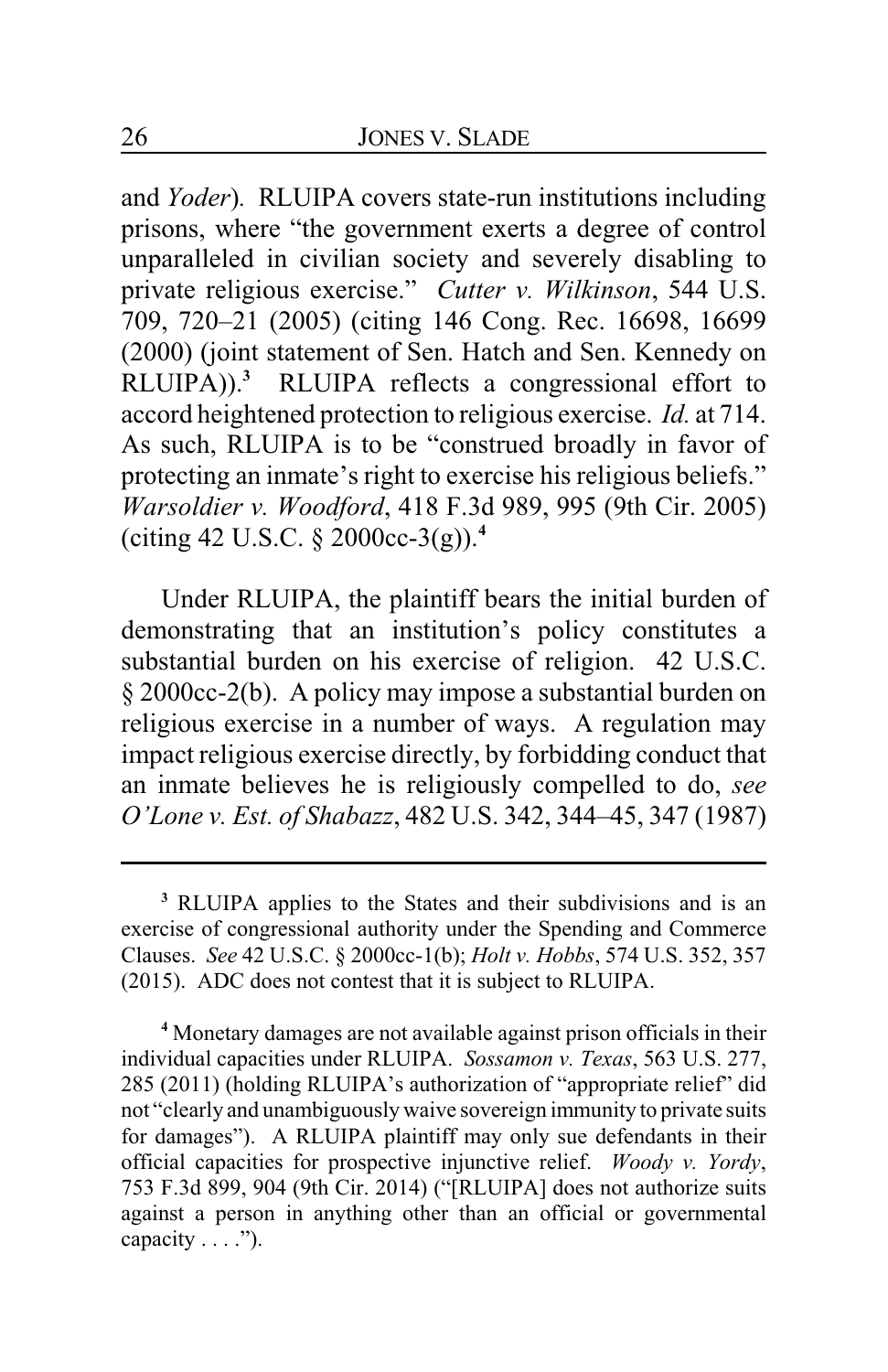and *Yoder*)*.* RLUIPA covers state-run institutions including prisons, where "the government exerts a degree of control unparalleled in civilian society and severely disabling to private religious exercise." *Cutter v. Wilkinson*, 544 U.S. 709, 720–21 (2005) (citing 146 Cong. Rec. 16698, 16699 (2000) (joint statement of Sen. Hatch and Sen. Kennedy on RLUIPA)).**<sup>3</sup>** RLUIPA reflects a congressional effort to accord heightened protection to religious exercise. *Id.* at 714. As such, RLUIPA is to be "construed broadly in favor of protecting an inmate's right to exercise his religious beliefs." *Warsoldier v. Woodford*, 418 F.3d 989, 995 (9th Cir. 2005) (citing 42 U.S.C. § 2000cc-3(g)).**<sup>4</sup>**

Under RLUIPA, the plaintiff bears the initial burden of demonstrating that an institution's policy constitutes a substantial burden on his exercise of religion. 42 U.S.C. § 2000cc-2(b). A policy may impose a substantial burden on religious exercise in a number of ways. A regulation may impact religious exercise directly, by forbidding conduct that an inmate believes he is religiously compelled to do, *see O'Lone v. Est. of Shabazz*, 482 U.S. 342, 344–45, 347 (1987)

**<sup>3</sup>** RLUIPA applies to the States and their subdivisions and is an exercise of congressional authority under the Spending and Commerce Clauses. *See* 42 U.S.C. § 2000cc-1(b); *Holt v. Hobbs*, 574 U.S. 352, 357 (2015). ADC does not contest that it is subject to RLUIPA.

**<sup>4</sup>** Monetary damages are not available against prison officials in their individual capacities under RLUIPA. *Sossamon v. Texas*, 563 U.S. 277, 285 (2011) (holding RLUIPA's authorization of "appropriate relief" did not "clearly and unambiguously waive sovereign immunity to private suits for damages"). A RLUIPA plaintiff may only sue defendants in their official capacities for prospective injunctive relief. *Woody v. Yordy*, 753 F.3d 899, 904 (9th Cir. 2014) ("[RLUIPA] does not authorize suits against a person in anything other than an official or governmental capacity  $\dots$ .").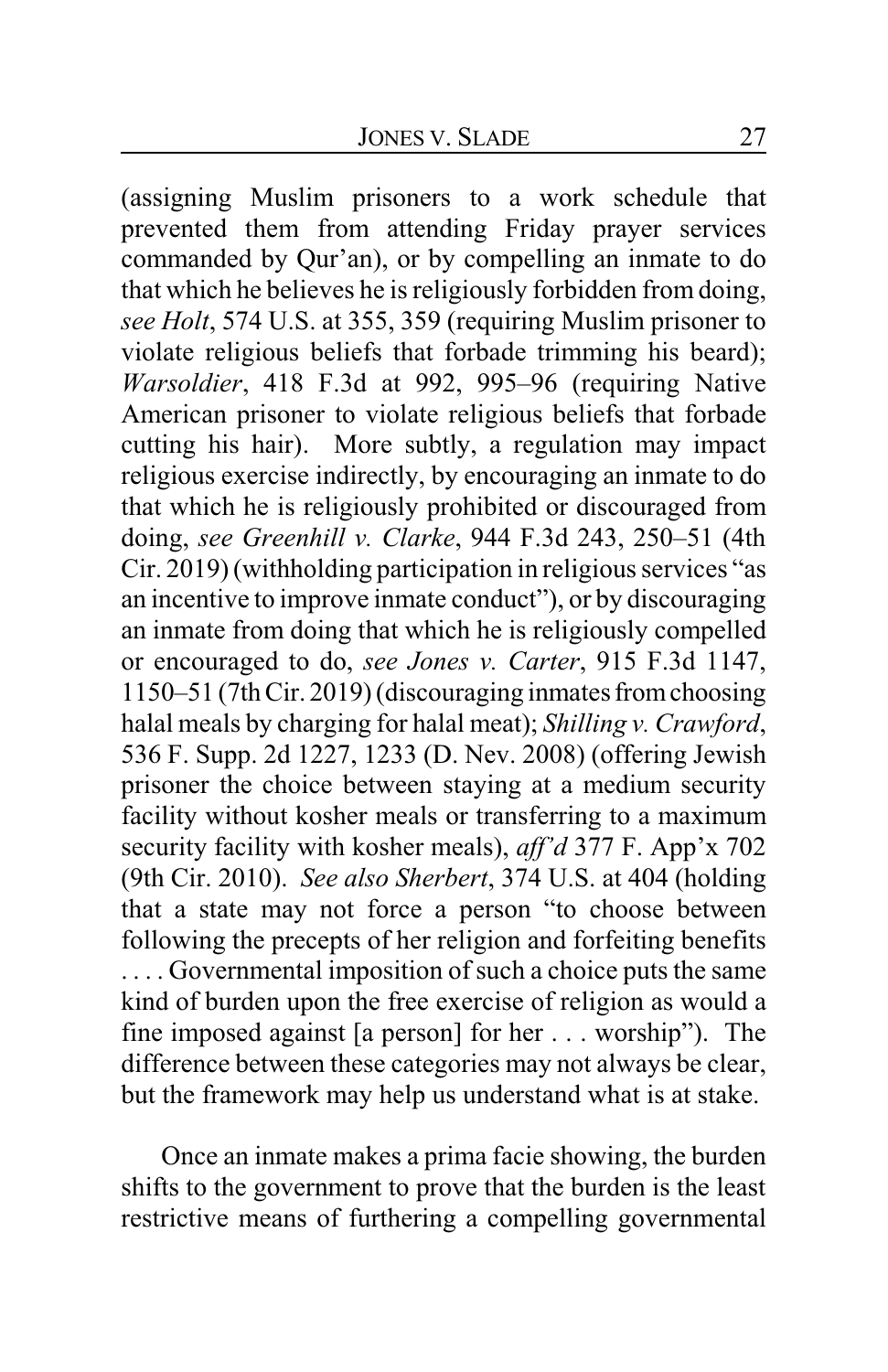(assigning Muslim prisoners to a work schedule that prevented them from attending Friday prayer services commanded by Qur'an), or by compelling an inmate to do that which he believes he is religiously forbidden from doing, *see Holt*, 574 U.S. at 355, 359 (requiring Muslim prisoner to violate religious beliefs that forbade trimming his beard); *Warsoldier*, 418 F.3d at 992, 995–96 (requiring Native American prisoner to violate religious beliefs that forbade cutting his hair). More subtly, a regulation may impact religious exercise indirectly, by encouraging an inmate to do that which he is religiously prohibited or discouraged from doing, *see Greenhill v. Clarke*, 944 F.3d 243, 250–51 (4th Cir. 2019) (withholding participation in religious services "as an incentive to improve inmate conduct"), or by discouraging an inmate from doing that which he is religiously compelled or encouraged to do, *see Jones v. Carter*, 915 F.3d 1147, 1150–51 (7thCir. 2019) (discouraging inmates fromchoosing halal meals by charging for halal meat); *Shilling v. Crawford*, 536 F. Supp. 2d 1227, 1233 (D. Nev. 2008) (offering Jewish prisoner the choice between staying at a medium security facility without kosher meals or transferring to a maximum security facility with kosher meals), *aff'd* 377 F. App'x 702 (9th Cir. 2010). *See also Sherbert*, 374 U.S. at 404 (holding that a state may not force a person "to choose between following the precepts of her religion and forfeiting benefits . . . . Governmental imposition of such a choice puts the same kind of burden upon the free exercise of religion as would a fine imposed against [a person] for her . . . worship"). The difference between these categories may not always be clear, but the framework may help us understand what is at stake.

Once an inmate makes a prima facie showing, the burden shifts to the government to prove that the burden is the least restrictive means of furthering a compelling governmental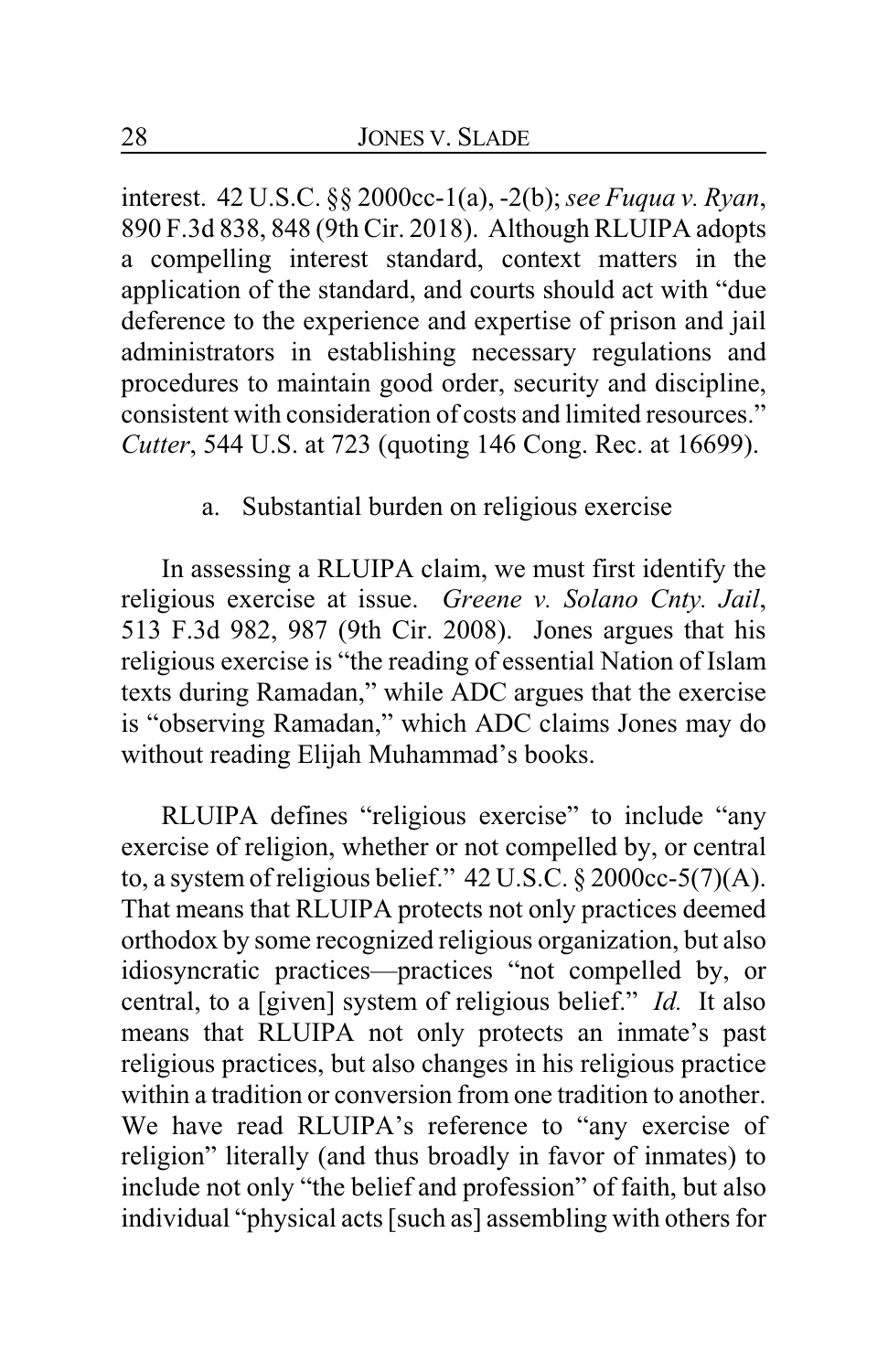interest. 42 U.S.C. §§ 2000cc-1(a), -2(b);*see Fuqua v. Ryan*, 890 F.3d 838, 848 (9th Cir. 2018). Although RLUIPA adopts a compelling interest standard, context matters in the application of the standard, and courts should act with "due deference to the experience and expertise of prison and jail administrators in establishing necessary regulations and procedures to maintain good order, security and discipline, consistent with consideration of costs and limited resources." *Cutter*, 544 U.S. at 723 (quoting 146 Cong. Rec. at 16699).

#### a. Substantial burden on religious exercise

In assessing a RLUIPA claim, we must first identify the religious exercise at issue. *Greene v. Solano Cnty. Jail*, 513 F.3d 982, 987 (9th Cir. 2008). Jones argues that his religious exercise is "the reading of essential Nation of Islam texts during Ramadan," while ADC argues that the exercise is "observing Ramadan," which ADC claims Jones may do without reading Elijah Muhammad's books.

RLUIPA defines "religious exercise" to include "any exercise of religion, whether or not compelled by, or central to, a system of religious belief."  $42 \text{ U.S.C.}$  §  $2000 \text{ cc-}5(7)(\text{A})$ . That means that RLUIPA protects not only practices deemed orthodox by some recognized religious organization, but also idiosyncratic practices—practices "not compelled by, or central, to a [given] system of religious belief." *Id.* It also means that RLUIPA not only protects an inmate's past religious practices, but also changes in his religious practice within a tradition or conversion from one tradition to another. We have read RLUIPA's reference to "any exercise of religion" literally (and thus broadly in favor of inmates) to include not only "the belief and profession" of faith, but also individual "physical acts [such as] assembling with others for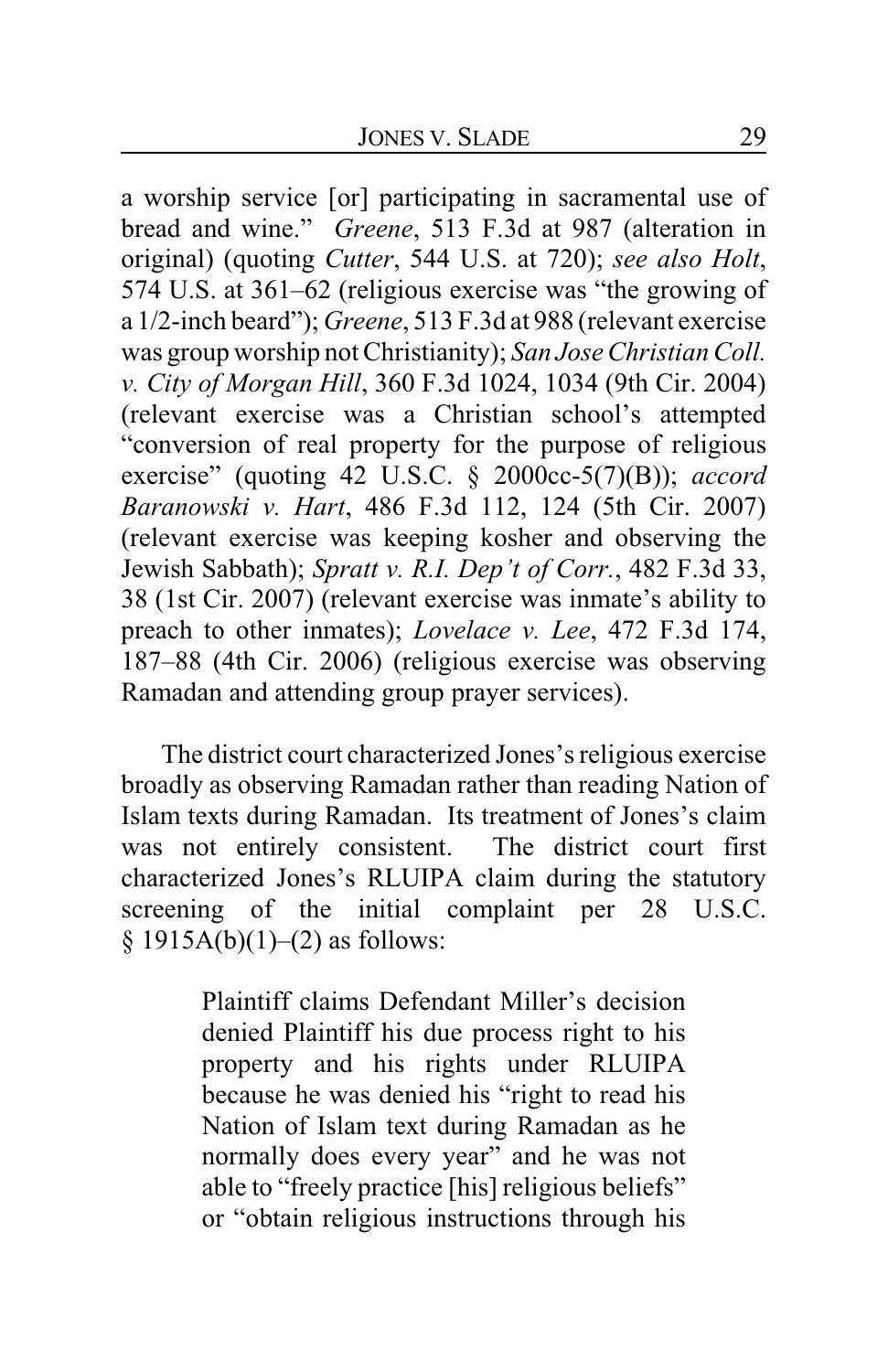a worship service [or] participating in sacramental use of bread and wine." *Greene*, 513 F.3d at 987 (alteration in original) (quoting *Cutter*, 544 U.S. at 720); *see also Holt*, 574 U.S. at 361–62 (religious exercise was "the growing of a 1/2-inch beard"); *Greene*, 513 F.3d at 988 (relevant exercise was group worship not Christianity); *San Jose Christian Coll. v. City of Morgan Hill*, 360 F.3d 1024, 1034 (9th Cir. 2004) (relevant exercise was a Christian school's attempted "conversion of real property for the purpose of religious exercise" (quoting 42 U.S.C. § 2000cc-5(7)(B)); *accord Baranowski v. Hart*, 486 F.3d 112, 124 (5th Cir. 2007) (relevant exercise was keeping kosher and observing the Jewish Sabbath); *Spratt v. R.I. Dep't of Corr.*, 482 F.3d 33, 38 (1st Cir. 2007) (relevant exercise was inmate's ability to preach to other inmates); *Lovelace v. Lee*, 472 F.3d 174, 187–88 (4th Cir. 2006) (religious exercise was observing Ramadan and attending group prayer services).

The district court characterized Jones's religious exercise broadly as observing Ramadan rather than reading Nation of Islam texts during Ramadan. Its treatment of Jones's claim was not entirely consistent. The district court first characterized Jones's RLUIPA claim during the statutory screening of the initial complaint per 28 U.S.C.  $§ 1915A(b)(1)–(2)$  as follows:

> Plaintiff claims Defendant Miller's decision denied Plaintiff his due process right to his property and his rights under RLUIPA because he was denied his "right to read his Nation of Islam text during Ramadan as he normally does every year" and he was not able to "freely practice [his] religious beliefs" or "obtain religious instructions through his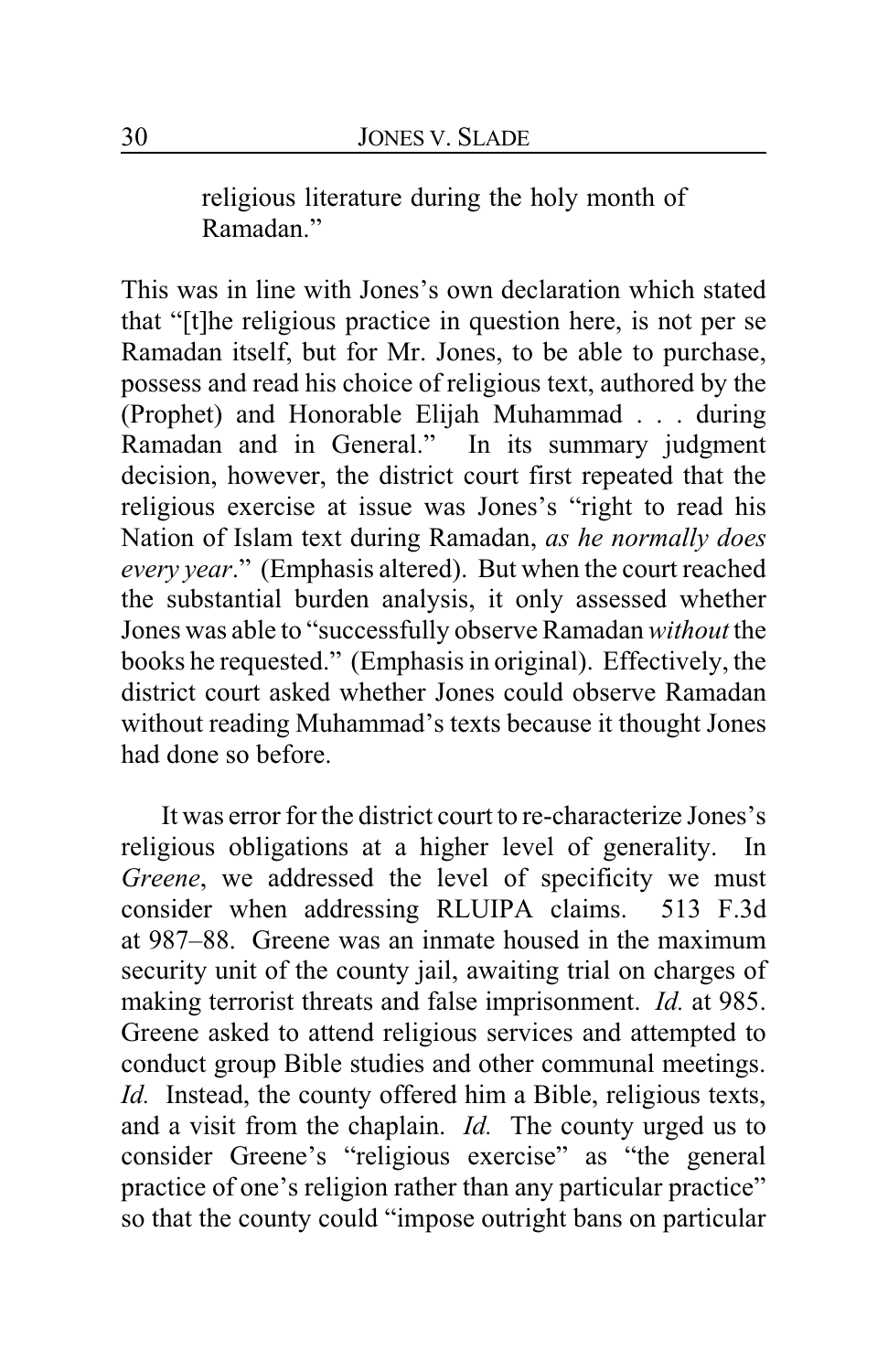religious literature during the holy month of Ramadan."

This was in line with Jones's own declaration which stated that "[t]he religious practice in question here, is not per se Ramadan itself, but for Mr. Jones, to be able to purchase, possess and read his choice of religious text, authored by the (Prophet) and Honorable Elijah Muhammad . . . during Ramadan and in General." In its summary judgment decision, however, the district court first repeated that the religious exercise at issue was Jones's "right to read his Nation of Islam text during Ramadan, *as he normally does every year*." (Emphasis altered). But when the court reached the substantial burden analysis, it only assessed whether Jones was able to "successfully observe Ramadan *without* the books he requested." (Emphasis in original). Effectively, the district court asked whether Jones could observe Ramadan without reading Muhammad's texts because it thought Jones had done so before.

It was error for the district court to re-characterize Jones's religious obligations at a higher level of generality. In *Greene*, we addressed the level of specificity we must consider when addressing RLUIPA claims. 513 F.3d at 987–88. Greene was an inmate housed in the maximum security unit of the county jail, awaiting trial on charges of making terrorist threats and false imprisonment. *Id.* at 985. Greene asked to attend religious services and attempted to conduct group Bible studies and other communal meetings. *Id.* Instead, the county offered him a Bible, religious texts, and a visit from the chaplain. *Id.* The county urged us to consider Greene's "religious exercise" as "the general practice of one's religion rather than any particular practice" so that the county could "impose outright bans on particular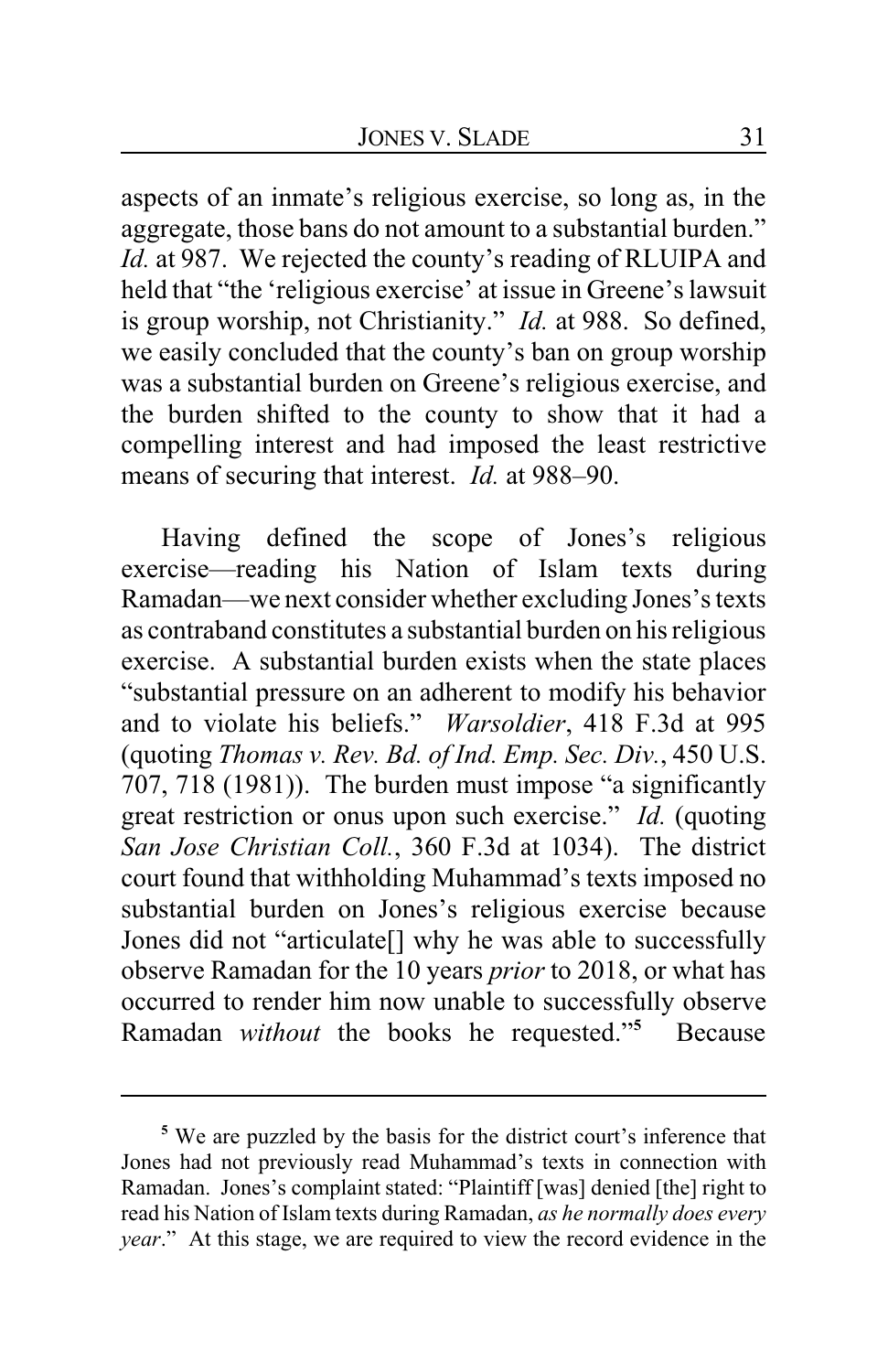aspects of an inmate's religious exercise, so long as, in the aggregate, those bans do not amount to a substantial burden." *Id.* at 987. We rejected the county's reading of RLUIPA and held that "the 'religious exercise' at issue in Greene's lawsuit is group worship, not Christianity." *Id.* at 988. So defined, we easily concluded that the county's ban on group worship was a substantial burden on Greene's religious exercise, and the burden shifted to the county to show that it had a compelling interest and had imposed the least restrictive means of securing that interest. *Id.* at 988–90.

Having defined the scope of Jones's religious exercise—reading his Nation of Islam texts during Ramadan—we next consider whether excluding Jones's texts as contraband constitutes a substantial burden on his religious exercise. A substantial burden exists when the state places "substantial pressure on an adherent to modify his behavior and to violate his beliefs." *Warsoldier*, 418 F.3d at 995 (quoting *Thomas v. Rev. Bd. of Ind. Emp. Sec. Div.*, 450 U.S. 707, 718 (1981)). The burden must impose "a significantly great restriction or onus upon such exercise." *Id.* (quoting *San Jose Christian Coll.*, 360 F.3d at 1034). The district court found that withholding Muhammad's texts imposed no substantial burden on Jones's religious exercise because Jones did not "articulate[] why he was able to successfully observe Ramadan for the 10 years *prior* to 2018, or what has occurred to render him now unable to successfully observe Ramadan *without* the books he requested."**<sup>5</sup>** Because

**<sup>5</sup>** We are puzzled by the basis for the district court's inference that Jones had not previously read Muhammad's texts in connection with Ramadan. Jones's complaint stated: "Plaintiff [was] denied [the] right to read his Nation of Islam texts during Ramadan, *as he normally does every year*." At this stage, we are required to view the record evidence in the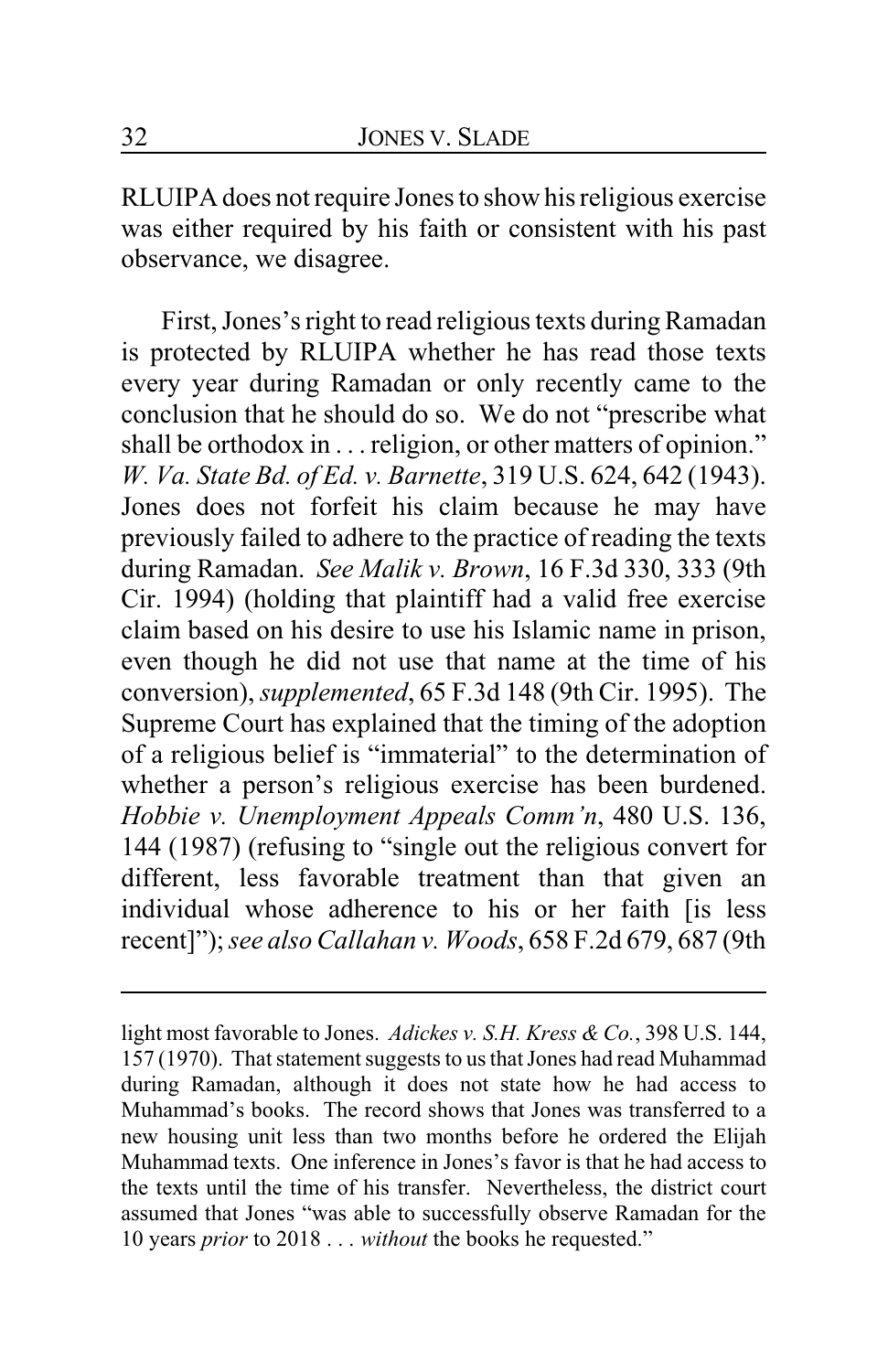RLUIPA does not require Jones to show his religious exercise was either required by his faith or consistent with his past observance, we disagree.

First, Jones's right to read religious texts during Ramadan is protected by RLUIPA whether he has read those texts every year during Ramadan or only recently came to the conclusion that he should do so. We do not "prescribe what shall be orthodox in . . . religion, or other matters of opinion." *W. Va. State Bd. of Ed. v. Barnette*, 319 U.S. 624, 642 (1943). Jones does not forfeit his claim because he may have previously failed to adhere to the practice of reading the texts during Ramadan. *See Malik v. Brown*, 16 F.3d 330, 333 (9th Cir. 1994) (holding that plaintiff had a valid free exercise claim based on his desire to use his Islamic name in prison, even though he did not use that name at the time of his conversion), *supplemented*, 65 F.3d 148 (9th Cir. 1995). The Supreme Court has explained that the timing of the adoption of a religious belief is "immaterial" to the determination of whether a person's religious exercise has been burdened. *Hobbie v. Unemployment Appeals Comm'n*, 480 U.S. 136, 144 (1987) (refusing to "single out the religious convert for different, less favorable treatment than that given an individual whose adherence to his or her faith [is less recent]"); *see also Callahan v. Woods*, 658 F.2d 679, 687 (9th

light most favorable to Jones. *Adickes v. S.H. Kress & Co.*, 398 U.S. 144, 157 (1970). That statement suggests to us that Jones had read Muhammad during Ramadan, although it does not state how he had access to Muhammad's books. The record shows that Jones was transferred to a new housing unit less than two months before he ordered the Elijah Muhammad texts. One inference in Jones's favor is that he had access to the texts until the time of his transfer. Nevertheless, the district court assumed that Jones "was able to successfully observe Ramadan for the 10 years *prior* to 2018 . . . *without* the books he requested."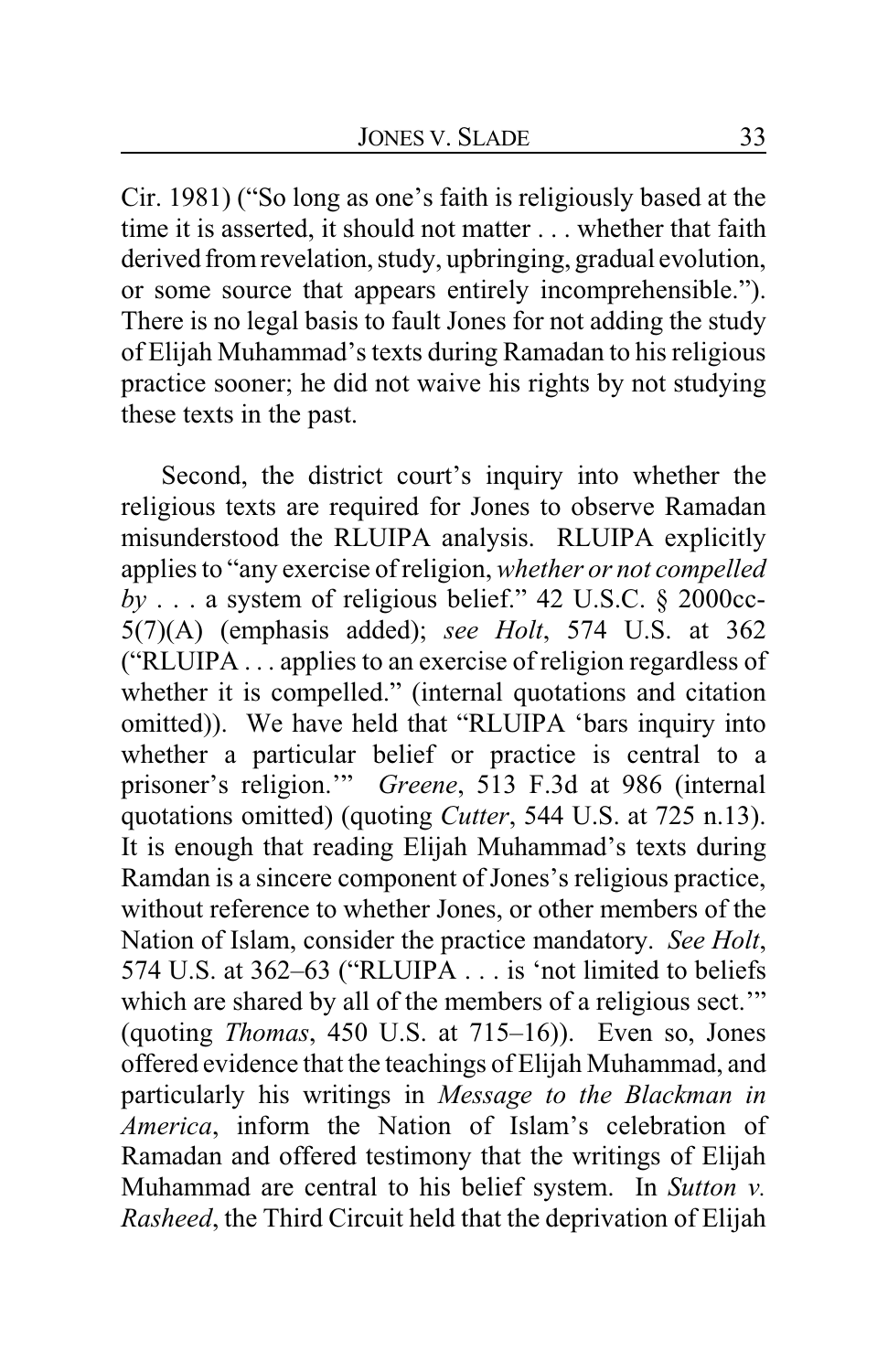Cir. 1981) ("So long as one's faith is religiously based at the time it is asserted, it should not matter . . . whether that faith derived from revelation, study, upbringing, gradual evolution, or some source that appears entirely incomprehensible."). There is no legal basis to fault Jones for not adding the study of Elijah Muhammad's texts during Ramadan to his religious practice sooner; he did not waive his rights by not studying these texts in the past.

Second, the district court's inquiry into whether the religious texts are required for Jones to observe Ramadan misunderstood the RLUIPA analysis. RLUIPA explicitly applies to "any exercise of religion, *whether or not compelled by* . . . a system of religious belief." 42 U.S.C. § 2000cc-5(7)(A) (emphasis added); *see Holt*, 574 U.S. at 362 ("RLUIPA . . . applies to an exercise of religion regardless of whether it is compelled." (internal quotations and citation omitted)). We have held that "RLUIPA 'bars inquiry into whether a particular belief or practice is central to a prisoner's religion.'" *Greene*, 513 F.3d at 986 (internal quotations omitted) (quoting *Cutter*, 544 U.S. at 725 n.13). It is enough that reading Elijah Muhammad's texts during Ramdan is a sincere component of Jones's religious practice, without reference to whether Jones, or other members of the Nation of Islam, consider the practice mandatory. *See Holt*, 574 U.S. at 362–63 ("RLUIPA . . . is 'not limited to beliefs which are shared by all of the members of a religious sect." (quoting *Thomas*, 450 U.S. at 715–16)). Even so, Jones offered evidence that the teachings of Elijah Muhammad, and particularly his writings in *Message to the Blackman in America*, inform the Nation of Islam's celebration of Ramadan and offered testimony that the writings of Elijah Muhammad are central to his belief system. In *Sutton v. Rasheed*, the Third Circuit held that the deprivation of Elijah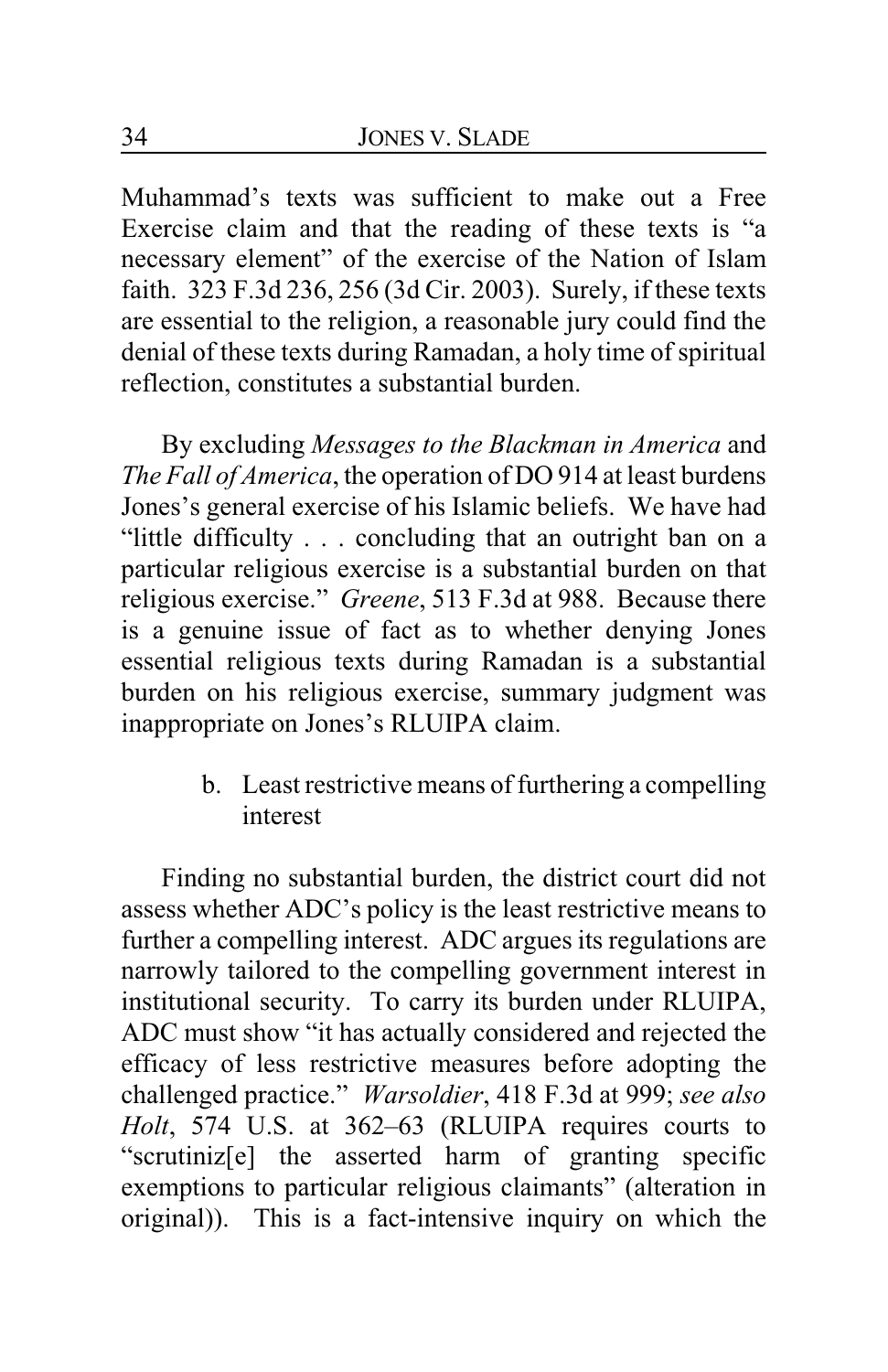Muhammad's texts was sufficient to make out a Free Exercise claim and that the reading of these texts is "a necessary element" of the exercise of the Nation of Islam faith. 323 F.3d 236, 256 (3d Cir. 2003). Surely, if these texts are essential to the religion, a reasonable jury could find the denial of these texts during Ramadan, a holy time of spiritual reflection, constitutes a substantial burden.

By excluding *Messages to the Blackman in America* and *The Fall of America*, the operation of DO 914 at least burdens Jones's general exercise of his Islamic beliefs. We have had "little difficulty . . . concluding that an outright ban on a particular religious exercise is a substantial burden on that religious exercise." *Greene*, 513 F.3d at 988. Because there is a genuine issue of fact as to whether denying Jones essential religious texts during Ramadan is a substantial burden on his religious exercise, summary judgment was inappropriate on Jones's RLUIPA claim.

> b. Least restrictive means of furthering a compelling interest

Finding no substantial burden, the district court did not assess whether ADC's policy is the least restrictive means to further a compelling interest. ADC argues its regulations are narrowly tailored to the compelling government interest in institutional security. To carry its burden under RLUIPA, ADC must show "it has actually considered and rejected the efficacy of less restrictive measures before adopting the challenged practice." *Warsoldier*, 418 F.3d at 999; *see also Holt*, 574 U.S. at 362–63 (RLUIPA requires courts to "scrutiniz[e] the asserted harm of granting specific exemptions to particular religious claimants" (alteration in original)). This is a fact-intensive inquiry on which the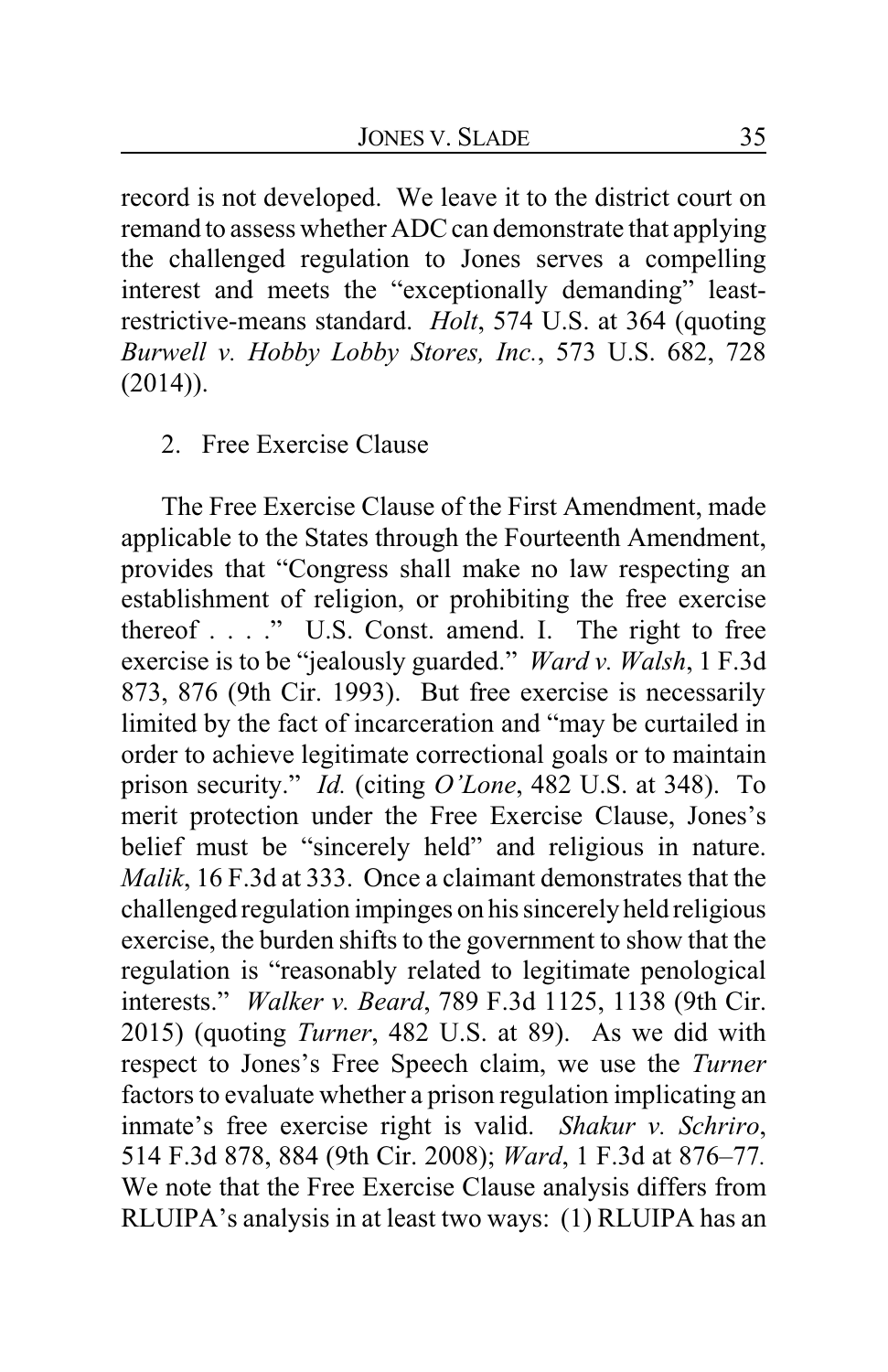record is not developed. We leave it to the district court on remand to assess whether ADC can demonstrate that applying the challenged regulation to Jones serves a compelling interest and meets the "exceptionally demanding" leastrestrictive-means standard. *Holt*, 574 U.S. at 364 (quoting *Burwell v. Hobby Lobby Stores, Inc.*, 573 U.S. 682, 728 (2014)).

#### 2. Free Exercise Clause

The Free Exercise Clause of the First Amendment, made applicable to the States through the Fourteenth Amendment, provides that "Congress shall make no law respecting an establishment of religion, or prohibiting the free exercise thereof . . . ." U.S. Const. amend. I. The right to free exercise is to be "jealously guarded." *Ward v. Walsh*, 1 F.3d 873, 876 (9th Cir. 1993). But free exercise is necessarily limited by the fact of incarceration and "may be curtailed in order to achieve legitimate correctional goals or to maintain prison security." *Id.* (citing *O'Lone*, 482 U.S. at 348). To merit protection under the Free Exercise Clause, Jones's belief must be "sincerely held" and religious in nature. *Malik*, 16 F.3d at 333. Once a claimant demonstrates that the challenged regulation impinges on his sincerely held religious exercise, the burden shifts to the government to show that the regulation is "reasonably related to legitimate penological interests." *Walker v. Beard*, 789 F.3d 1125, 1138 (9th Cir. 2015) (quoting *Turner*, 482 U.S. at 89). As we did with respect to Jones's Free Speech claim, we use the *Turner* factors to evaluate whether a prison regulation implicating an inmate's free exercise right is valid. *Shakur v. Schriro*, 514 F.3d 878, 884 (9th Cir. 2008); *Ward*, 1 F.3d at 876–77*.* We note that the Free Exercise Clause analysis differs from RLUIPA's analysis in at least two ways: (1) RLUIPA has an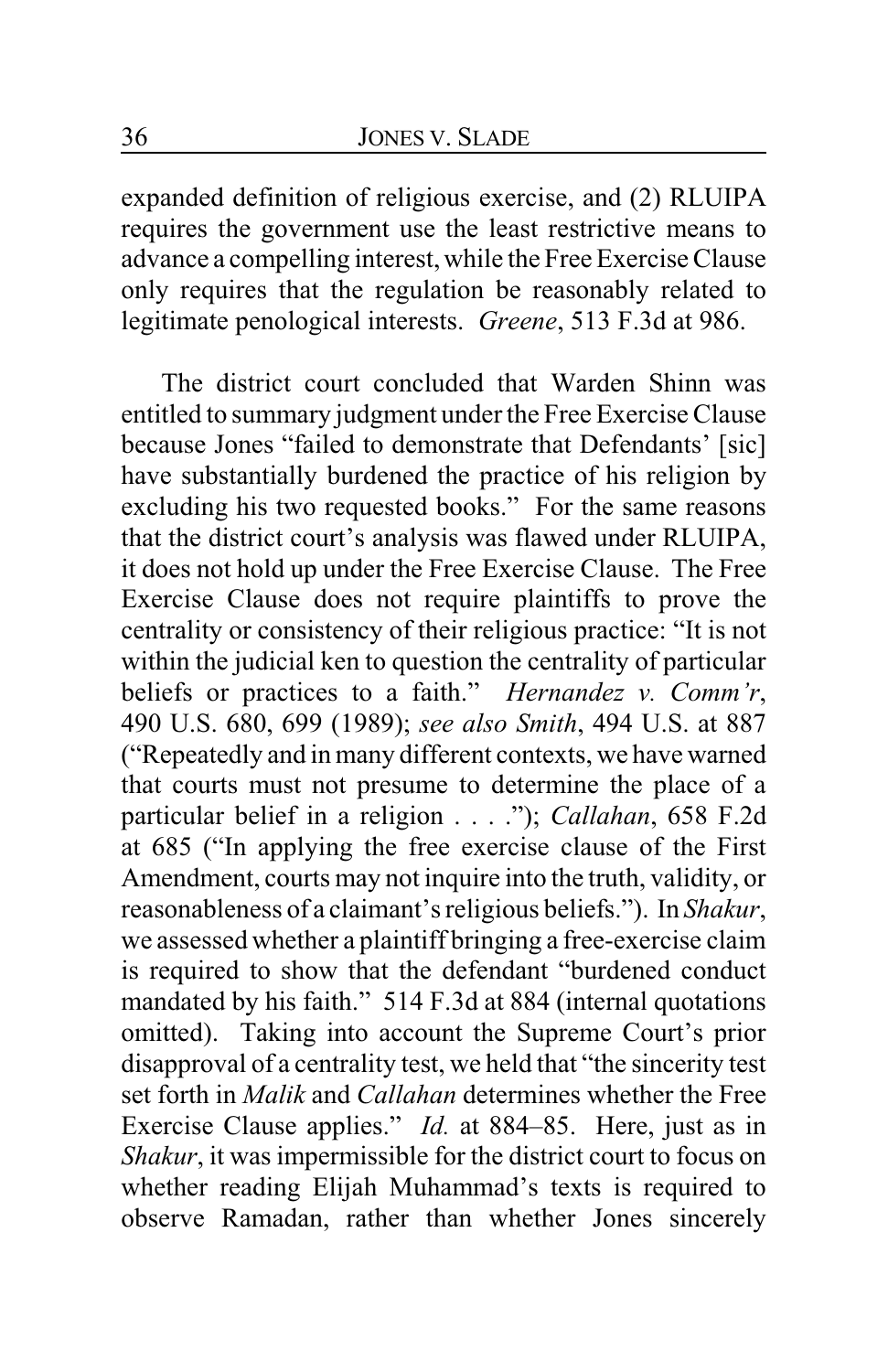expanded definition of religious exercise, and (2) RLUIPA requires the government use the least restrictive means to advance a compelling interest,while the Free Exercise Clause only requires that the regulation be reasonably related to legitimate penological interests. *Greene*, 513 F.3d at 986.

The district court concluded that Warden Shinn was entitled to summary judgment under the Free Exercise Clause because Jones "failed to demonstrate that Defendants' [sic] have substantially burdened the practice of his religion by excluding his two requested books." For the same reasons that the district court's analysis was flawed under RLUIPA, it does not hold up under the Free Exercise Clause. The Free Exercise Clause does not require plaintiffs to prove the centrality or consistency of their religious practice: "It is not within the judicial ken to question the centrality of particular beliefs or practices to a faith." *Hernandez v. Comm'r*, 490 U.S. 680, 699 (1989); *see also Smith*, 494 U.S. at 887 ("Repeatedly and in many different contexts, we have warned that courts must not presume to determine the place of a particular belief in a religion . . . ."); *Callahan*, 658 F.2d at 685 ("In applying the free exercise clause of the First Amendment, courts may not inquire into the truth, validity, or reasonableness of a claimant's religious beliefs."). In *Shakur*, we assessed whether a plaintiff bringing a free-exercise claim is required to show that the defendant "burdened conduct mandated by his faith." 514 F.3d at 884 (internal quotations omitted). Taking into account the Supreme Court's prior disapproval of a centrality test, we held that "the sincerity test set forth in *Malik* and *Callahan* determines whether the Free Exercise Clause applies." *Id.* at 884–85. Here, just as in *Shakur*, it was impermissible for the district court to focus on whether reading Elijah Muhammad's texts is required to observe Ramadan, rather than whether Jones sincerely